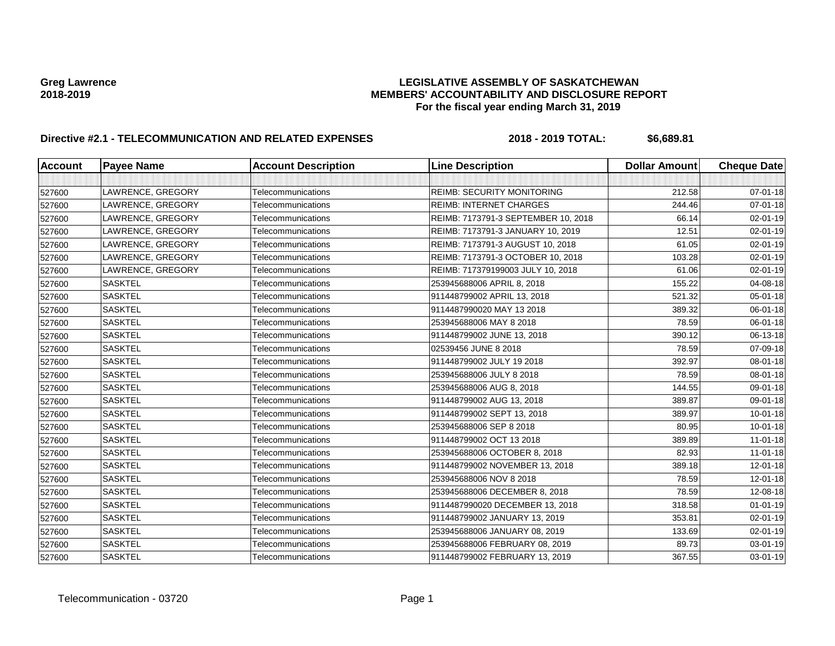| <b>Account</b> | <b>Payee Name</b> | <b>Account Description</b> | <b>Line Description</b>             | <b>Dollar Amount</b> | <b>Cheque Date</b> |
|----------------|-------------------|----------------------------|-------------------------------------|----------------------|--------------------|
|                |                   |                            |                                     |                      |                    |
| 527600         | LAWRENCE, GREGORY | Telecommunications         | <b>REIMB: SECURITY MONITORING</b>   | 212.58               | $07 - 01 - 18$     |
| 527600         | LAWRENCE, GREGORY | Telecommunications         | <b>REIMB: INTERNET CHARGES</b>      | 244.46               | 07-01-18           |
| 527600         | LAWRENCE, GREGORY | Telecommunications         | REIMB: 7173791-3 SEPTEMBER 10, 2018 | 66.14                | 02-01-19           |
| 527600         | LAWRENCE, GREGORY | Telecommunications         | REIMB: 7173791-3 JANUARY 10, 2019   | 12.51                | 02-01-19           |
| 527600         | LAWRENCE, GREGORY | Telecommunications         | REIMB: 7173791-3 AUGUST 10, 2018    | 61.05                | 02-01-19           |
| 527600         | LAWRENCE, GREGORY | Telecommunications         | REIMB: 7173791-3 OCTOBER 10, 2018   | 103.28               | 02-01-19           |
| 527600         | LAWRENCE, GREGORY | Telecommunications         | REIMB: 717379199003 JULY 10, 2018   | 61.06                | 02-01-19           |
| 527600         | <b>SASKTEL</b>    | Telecommunications         | 253945688006 APRIL 8, 2018          | 155.22               | 04-08-18           |
| 527600         | <b>SASKTEL</b>    | Telecommunications         | 911448799002 APRIL 13, 2018         | 521.32               | 05-01-18           |
| 527600         | <b>SASKTEL</b>    | Telecommunications         | 9114487990020 MAY 13 2018           | 389.32               | 06-01-18           |
| 527600         | <b>SASKTEL</b>    | Telecommunications         | 253945688006 MAY 8 2018             | 78.59                | 06-01-18           |
| 527600         | <b>SASKTEL</b>    | Telecommunications         | 911448799002 JUNE 13, 2018          | 390.12               | 06-13-18           |
| 527600         | <b>SASKTEL</b>    | Telecommunications         | 02539456 JUNE 8 2018                | 78.59                | 07-09-18           |
| 527600         | <b>SASKTEL</b>    | Telecommunications         | 911448799002 JULY 19 2018           | 392.97               | 08-01-18           |
| 527600         | <b>SASKTEL</b>    | Telecommunications         | 253945688006 JULY 8 2018            | 78.59                | 08-01-18           |
| 527600         | <b>SASKTEL</b>    | Telecommunications         | 253945688006 AUG 8, 2018            | 144.55               | 09-01-18           |
| 527600         | <b>SASKTEL</b>    | Telecommunications         | 911448799002 AUG 13, 2018           | 389.87               | 09-01-18           |
| 527600         | <b>SASKTEL</b>    | Telecommunications         | 911448799002 SEPT 13, 2018          | 389.97               | 10-01-18           |
| 527600         | <b>SASKTEL</b>    | Telecommunications         | 253945688006 SEP 8 2018             | 80.95                | $10 - 01 - 18$     |
| 527600         | <b>SASKTEL</b>    | Telecommunications         | 911448799002 OCT 13 2018            | 389.89               | $11 - 01 - 18$     |
| 527600         | <b>SASKTEL</b>    | Telecommunications         | 253945688006 OCTOBER 8, 2018        | 82.93                | $11 - 01 - 18$     |
| 527600         | <b>SASKTEL</b>    | Telecommunications         | 911448799002 NOVEMBER 13, 2018      | 389.18               | $12 - 01 - 18$     |
| 527600         | <b>SASKTEL</b>    | Telecommunications         | 253945688006 NOV 8 2018             | 78.59                | 12-01-18           |
| 527600         | <b>SASKTEL</b>    | Telecommunications         | 253945688006 DECEMBER 8, 2018       | 78.59                | 12-08-18           |
| 527600         | <b>SASKTEL</b>    | Telecommunications         | 9114487990020 DECEMBER 13, 2018     | 318.58               | $01 - 01 - 19$     |
| 527600         | <b>SASKTEL</b>    | Telecommunications         | 911448799002 JANUARY 13, 2019       | 353.81               | 02-01-19           |
| 527600         | <b>SASKTEL</b>    | Telecommunications         | 253945688006 JANUARY 08, 2019       | 133.69               | 02-01-19           |
| 527600         | <b>SASKTEL</b>    | Telecommunications         | 253945688006 FEBRUARY 08, 2019      | 89.73                | 03-01-19           |
| 527600         | <b>SASKTEL</b>    | Telecommunications         | 911448799002 FEBRUARY 13, 2019      | 367.55               | 03-01-19           |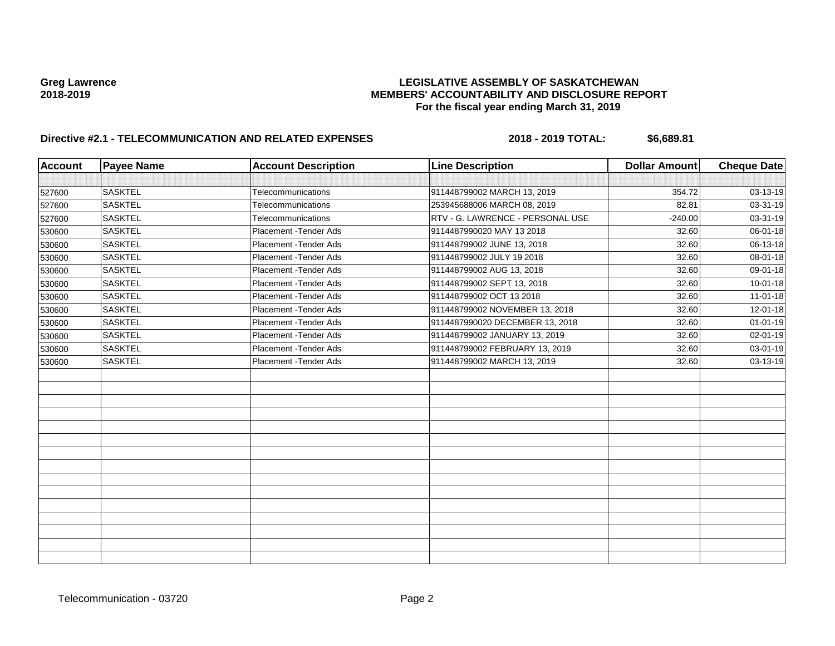| <b>Account</b> | <b>Payee Name</b> | <b>Account Description</b> | <b>Line Description</b>          | <b>Dollar Amount</b> | <b>Cheque Date</b> |
|----------------|-------------------|----------------------------|----------------------------------|----------------------|--------------------|
|                |                   |                            |                                  |                      |                    |
| 527600         | <b>SASKTEL</b>    | Telecommunications         | 911448799002 MARCH 13, 2019      | 354.72               | 03-13-19           |
| 527600         | <b>SASKTEL</b>    | Telecommunications         | 253945688006 MARCH 08, 2019      | 82.81                | 03-31-19           |
| 527600         | <b>SASKTEL</b>    | Telecommunications         | RTV - G. LAWRENCE - PERSONAL USE | $-240.00$            | 03-31-19           |
| 530600         | <b>SASKTEL</b>    | Placement - Tender Ads     | 9114487990020 MAY 13 2018        | 32.60                | 06-01-18           |
| 530600         | <b>SASKTEL</b>    | Placement - Tender Ads     | 911448799002 JUNE 13, 2018       | 32.60                | 06-13-18           |
| 530600         | <b>SASKTEL</b>    | Placement - Tender Ads     | 911448799002 JULY 19 2018        | 32.60                | 08-01-18           |
| 530600         | <b>SASKTEL</b>    | Placement - Tender Ads     | 911448799002 AUG 13, 2018        | 32.60                | 09-01-18           |
| 530600         | <b>SASKTEL</b>    | Placement - Tender Ads     | 911448799002 SEPT 13, 2018       | 32.60                | $10 - 01 - 18$     |
| 530600         | <b>SASKTEL</b>    | Placement - Tender Ads     | 911448799002 OCT 13 2018         | 32.60                | $11-01-18$         |
| 530600         | <b>SASKTEL</b>    | Placement - Tender Ads     | 911448799002 NOVEMBER 13, 2018   | 32.60                | 12-01-18           |
| 530600         | <b>SASKTEL</b>    | Placement - Tender Ads     | 9114487990020 DECEMBER 13, 2018  | 32.60                | $01 - 01 - 19$     |
| 530600         | <b>SASKTEL</b>    | Placement - Tender Ads     | 911448799002 JANUARY 13, 2019    | 32.60                | 02-01-19           |
| 530600         | <b>SASKTEL</b>    | Placement - Tender Ads     | 911448799002 FEBRUARY 13, 2019   | 32.60                | 03-01-19           |
| 530600         | <b>SASKTEL</b>    | Placement - Tender Ads     | 911448799002 MARCH 13, 2019      | 32.60                | 03-13-19           |
|                |                   |                            |                                  |                      |                    |
|                |                   |                            |                                  |                      |                    |
|                |                   |                            |                                  |                      |                    |
|                |                   |                            |                                  |                      |                    |
|                |                   |                            |                                  |                      |                    |
|                |                   |                            |                                  |                      |                    |
|                |                   |                            |                                  |                      |                    |
|                |                   |                            |                                  |                      |                    |
|                |                   |                            |                                  |                      |                    |
|                |                   |                            |                                  |                      |                    |
|                |                   |                            |                                  |                      |                    |
|                |                   |                            |                                  |                      |                    |
|                |                   |                            |                                  |                      |                    |
|                |                   |                            |                                  |                      |                    |
|                |                   |                            |                                  |                      |                    |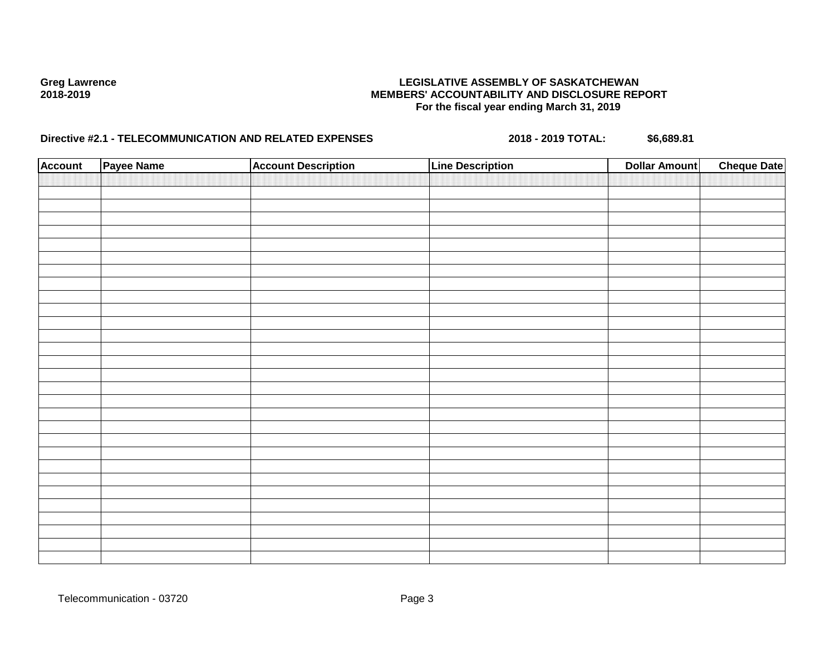| <b>Account</b> | Payee Name | <b>Account Description</b> | <b>Line Description</b> | <b>Dollar Amount</b> | <b>Cheque Date</b> |
|----------------|------------|----------------------------|-------------------------|----------------------|--------------------|
|                |            |                            |                         |                      |                    |
|                |            |                            |                         |                      |                    |
|                |            |                            |                         |                      |                    |
|                |            |                            |                         |                      |                    |
|                |            |                            |                         |                      |                    |
|                |            |                            |                         |                      |                    |
|                |            |                            |                         |                      |                    |
|                |            |                            |                         |                      |                    |
|                |            |                            |                         |                      |                    |
|                |            |                            |                         |                      |                    |
|                |            |                            |                         |                      |                    |
|                |            |                            |                         |                      |                    |
|                |            |                            |                         |                      |                    |
|                |            |                            |                         |                      |                    |
|                |            |                            |                         |                      |                    |
|                |            |                            |                         |                      |                    |
|                |            |                            |                         |                      |                    |
|                |            |                            |                         |                      |                    |
|                |            |                            |                         |                      |                    |
|                |            |                            |                         |                      |                    |
|                |            |                            |                         |                      |                    |
|                |            |                            |                         |                      |                    |
|                |            |                            |                         |                      |                    |
|                |            |                            |                         |                      |                    |
|                |            |                            |                         |                      |                    |
|                |            |                            |                         |                      |                    |
|                |            |                            |                         |                      |                    |
|                |            |                            |                         |                      |                    |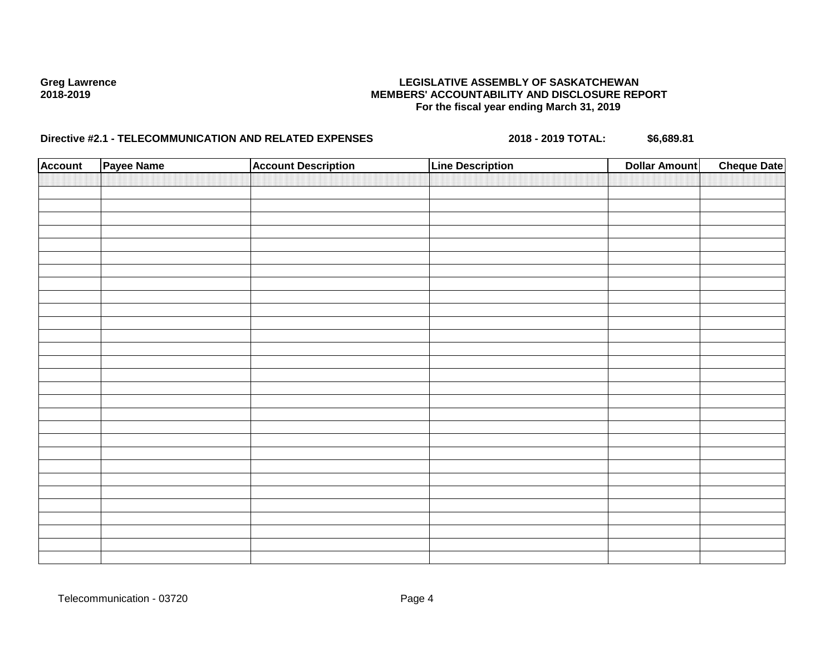| <b>Account</b> | Payee Name | <b>Account Description</b> | <b>Line Description</b> | <b>Dollar Amount</b> | <b>Cheque Date</b> |
|----------------|------------|----------------------------|-------------------------|----------------------|--------------------|
|                |            |                            |                         |                      |                    |
|                |            |                            |                         |                      |                    |
|                |            |                            |                         |                      |                    |
|                |            |                            |                         |                      |                    |
|                |            |                            |                         |                      |                    |
|                |            |                            |                         |                      |                    |
|                |            |                            |                         |                      |                    |
|                |            |                            |                         |                      |                    |
|                |            |                            |                         |                      |                    |
|                |            |                            |                         |                      |                    |
|                |            |                            |                         |                      |                    |
|                |            |                            |                         |                      |                    |
|                |            |                            |                         |                      |                    |
|                |            |                            |                         |                      |                    |
|                |            |                            |                         |                      |                    |
|                |            |                            |                         |                      |                    |
|                |            |                            |                         |                      |                    |
|                |            |                            |                         |                      |                    |
|                |            |                            |                         |                      |                    |
|                |            |                            |                         |                      |                    |
|                |            |                            |                         |                      |                    |
|                |            |                            |                         |                      |                    |
|                |            |                            |                         |                      |                    |
|                |            |                            |                         |                      |                    |
|                |            |                            |                         |                      |                    |
|                |            |                            |                         |                      |                    |
|                |            |                            |                         |                      |                    |
|                |            |                            |                         |                      |                    |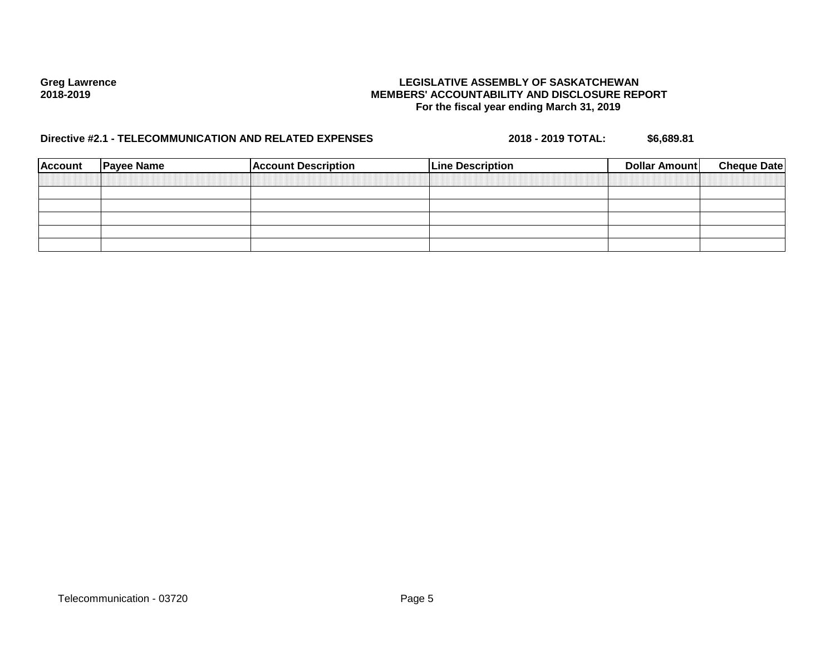| <b>Account</b> | <b>Payee Name</b> | <b>Account Description</b> | <b>Line Description</b> | Dollar Amount | <b>Cheque Date</b> |
|----------------|-------------------|----------------------------|-------------------------|---------------|--------------------|
|                |                   |                            |                         |               |                    |
|                |                   |                            |                         |               |                    |
|                |                   |                            |                         |               |                    |
|                |                   |                            |                         |               |                    |
|                |                   |                            |                         |               |                    |
|                |                   |                            |                         |               |                    |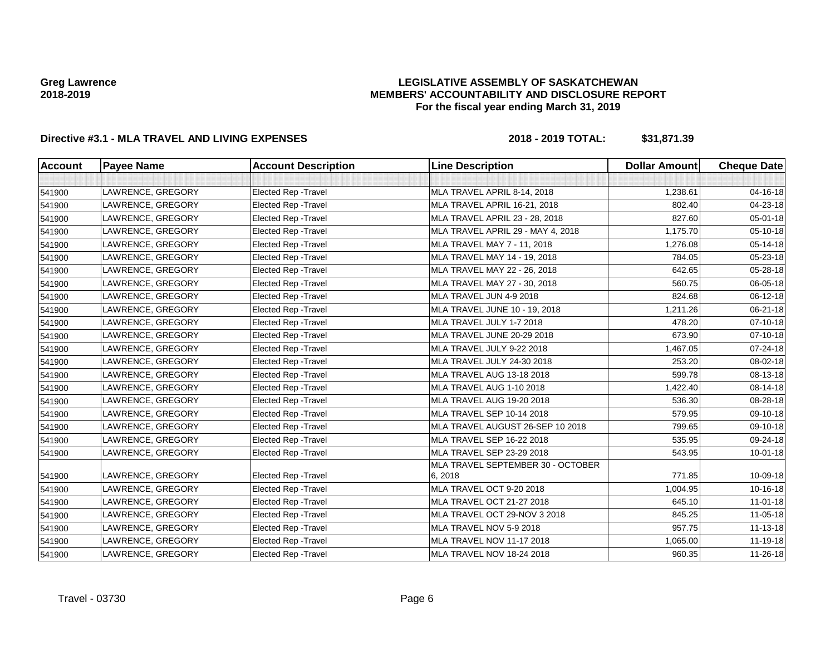## **LEGISLATIVE ASSEMBLY OF SASKATCHEWAN MEMBERS' ACCOUNTABILITY AND DISCLOSURE REPORT For the fiscal year ending March 31, 2019**

| <b>Account</b> | <b>Payee Name</b> | <b>Account Description</b>  | <b>Line Description</b>           | <b>Dollar Amount</b> | <b>Cheque Date</b> |
|----------------|-------------------|-----------------------------|-----------------------------------|----------------------|--------------------|
|                |                   |                             |                                   |                      |                    |
| 541900         | LAWRENCE, GREGORY | Elected Rep - Travel        | MLA TRAVEL APRIL 8-14, 2018       | 1,238.61             | 04-16-18           |
| 541900         | LAWRENCE, GREGORY | <b>Elected Rep - Travel</b> | MLA TRAVEL APRIL 16-21, 2018      | 802.40               | 04-23-18           |
| 541900         | LAWRENCE, GREGORY | Elected Rep - Travel        | MLA TRAVEL APRIL 23 - 28, 2018    | 827.60               | 05-01-18           |
| 541900         | LAWRENCE, GREGORY | Elected Rep - Travel        | MLA TRAVEL APRIL 29 - MAY 4, 2018 | 1,175.70             | 05-10-18           |
| 541900         | LAWRENCE, GREGORY | Elected Rep - Travel        | MLA TRAVEL MAY 7 - 11, 2018       | 1,276.08             | 05-14-18           |
| 541900         | LAWRENCE, GREGORY | Elected Rep - Travel        | MLA TRAVEL MAY 14 - 19, 2018      | 784.05               | 05-23-18           |
| 541900         | LAWRENCE, GREGORY | <b>Elected Rep - Travel</b> | MLA TRAVEL MAY 22 - 26, 2018      | 642.65               | 05-28-18           |
| 541900         | LAWRENCE, GREGORY | Elected Rep - Travel        | MLA TRAVEL MAY 27 - 30, 2018      | 560.75               | 06-05-18           |
| 541900         | LAWRENCE, GREGORY | Elected Rep - Travel        | MLA TRAVEL JUN 4-9 2018           | 824.68               | 06-12-18           |
| 541900         | LAWRENCE, GREGORY | Elected Rep - Travel        | MLA TRAVEL JUNE 10 - 19, 2018     | 1,211.26             | 06-21-18           |
| 541900         | LAWRENCE, GREGORY | Elected Rep - Travel        | MLA TRAVEL JULY 1-7 2018          | 478.20               | $07 - 10 - 18$     |
| 541900         | LAWRENCE, GREGORY | Elected Rep - Travel        | MLA TRAVEL JUNE 20-29 2018        | 673.90               | 07-10-18           |
| 541900         | LAWRENCE, GREGORY | Elected Rep - Travel        | MLA TRAVEL JULY 9-22 2018         | 1,467.05             | 07-24-18           |
| 541900         | LAWRENCE, GREGORY | Elected Rep - Travel        | MLA TRAVEL JULY 24-30 2018        | 253.20               | 08-02-18           |
| 541900         | LAWRENCE, GREGORY | Elected Rep - Travel        | <b>MLA TRAVEL AUG 13-18 2018</b>  | 599.78               | 08-13-18           |
| 541900         | LAWRENCE, GREGORY | Elected Rep - Travel        | <b>MLA TRAVEL AUG 1-10 2018</b>   | 1,422.40             | 08-14-18           |
| 541900         | LAWRENCE, GREGORY | Elected Rep - Travel        | <b>MLA TRAVEL AUG 19-20 2018</b>  | 536.30               | 08-28-18           |
| 541900         | LAWRENCE, GREGORY | <b>Elected Rep - Travel</b> | MLA TRAVEL SEP 10-14 2018         | 579.95               | 09-10-18           |
| 541900         | LAWRENCE, GREGORY | Elected Rep - Travel        | MLA TRAVEL AUGUST 26-SEP 10 2018  | 799.65               | 09-10-18           |
| 541900         | LAWRENCE, GREGORY | Elected Rep - Travel        | MLA TRAVEL SEP 16-22 2018         | 535.95               | 09-24-18           |
| 541900         | LAWRENCE, GREGORY | Elected Rep - Travel        | MLA TRAVEL SEP 23-29 2018         | 543.95               | $10 - 01 - 18$     |
|                |                   |                             | MLA TRAVEL SEPTEMBER 30 - OCTOBER |                      |                    |
| 541900         | LAWRENCE, GREGORY | Elected Rep - Travel        | 6, 2018                           | 771.85               | 10-09-18           |
| 541900         | LAWRENCE, GREGORY | Elected Rep - Travel        | MLA TRAVEL OCT 9-20 2018          | 1,004.95             | 10-16-18           |
| 541900         | LAWRENCE, GREGORY | Elected Rep - Travel        | MLA TRAVEL OCT 21-27 2018         | 645.10               | 11-01-18           |
| 541900         | LAWRENCE, GREGORY | Elected Rep - Travel        | MLA TRAVEL OCT 29-NOV 3 2018      | 845.25               | 11-05-18           |
| 541900         | LAWRENCE, GREGORY | Elected Rep - Travel        | MLA TRAVEL NOV 5-9 2018           | 957.75               | 11-13-18           |
| 541900         | LAWRENCE, GREGORY | <b>Elected Rep - Travel</b> | <b>MLA TRAVEL NOV 11-17 2018</b>  | 1,065.00             | 11-19-18           |
| 541900         | LAWRENCE, GREGORY | Elected Rep - Travel        | MLA TRAVEL NOV 18-24 2018         | 960.35               | 11-26-18           |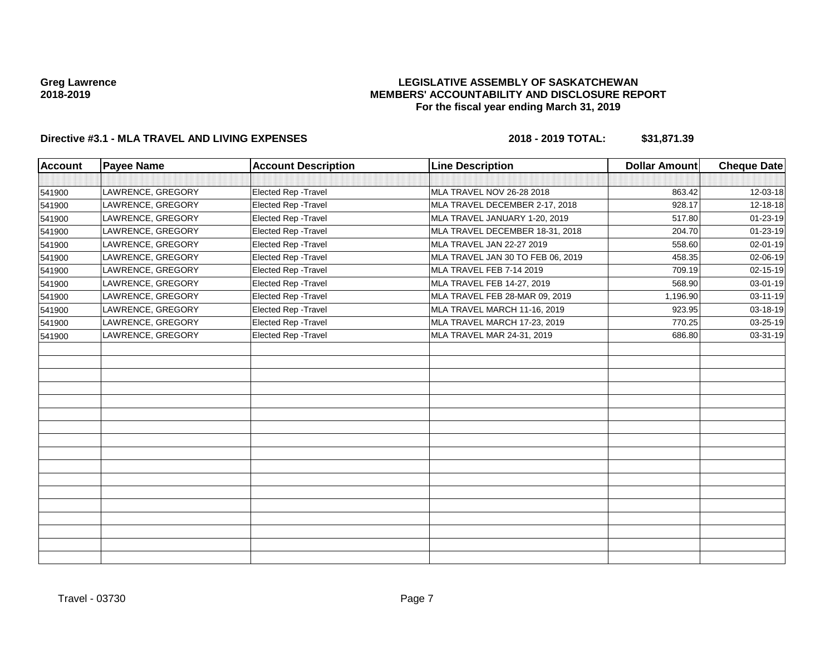## **LEGISLATIVE ASSEMBLY OF SASKATCHEWAN MEMBERS' ACCOUNTABILITY AND DISCLOSURE REPORT For the fiscal year ending March 31, 2019**

| <b>Account</b> | <b>Payee Name</b> | <b>Account Description</b>  | <b>Line Description</b>           | <b>Dollar Amount</b> | <b>Cheque Date</b> |
|----------------|-------------------|-----------------------------|-----------------------------------|----------------------|--------------------|
|                |                   |                             |                                   |                      |                    |
| 541900         | LAWRENCE, GREGORY | Elected Rep - Travel        | MLA TRAVEL NOV 26-28 2018         | 863.42               | 12-03-18           |
| 541900         | LAWRENCE, GREGORY | Elected Rep - Travel        | MLA TRAVEL DECEMBER 2-17, 2018    | 928.17               | 12-18-18           |
| 541900         | LAWRENCE, GREGORY | Elected Rep - Travel        | MLA TRAVEL JANUARY 1-20, 2019     | 517.80               | 01-23-19           |
| 541900         | LAWRENCE, GREGORY | Elected Rep - Travel        | MLA TRAVEL DECEMBER 18-31, 2018   | 204.70               | 01-23-19           |
| 541900         | LAWRENCE, GREGORY | Elected Rep - Travel        | MLA TRAVEL JAN 22-27 2019         | 558.60               | 02-01-19           |
| 541900         | LAWRENCE, GREGORY | Elected Rep - Travel        | MLA TRAVEL JAN 30 TO FEB 06, 2019 | 458.35               | 02-06-19           |
| 541900         | LAWRENCE, GREGORY | Elected Rep - Travel        | MLA TRAVEL FEB 7-14 2019          | 709.19               | 02-15-19           |
| 541900         | LAWRENCE, GREGORY | Elected Rep - Travel        | MLA TRAVEL FEB 14-27, 2019        | 568.90               | 03-01-19           |
| 541900         | LAWRENCE, GREGORY | <b>Elected Rep - Travel</b> | MLA TRAVEL FEB 28-MAR 09, 2019    | 1,196.90             | 03-11-19           |
| 541900         | LAWRENCE, GREGORY | Elected Rep - Travel        | MLA TRAVEL MARCH 11-16, 2019      | 923.95               | 03-18-19           |
| 541900         | LAWRENCE, GREGORY | Elected Rep - Travel        | MLA TRAVEL MARCH 17-23, 2019      | 770.25               | 03-25-19           |
| 541900         | LAWRENCE, GREGORY | Elected Rep - Travel        | MLA TRAVEL MAR 24-31, 2019        | 686.80               | 03-31-19           |
|                |                   |                             |                                   |                      |                    |
|                |                   |                             |                                   |                      |                    |
|                |                   |                             |                                   |                      |                    |
|                |                   |                             |                                   |                      |                    |
|                |                   |                             |                                   |                      |                    |
|                |                   |                             |                                   |                      |                    |
|                |                   |                             |                                   |                      |                    |
|                |                   |                             |                                   |                      |                    |
|                |                   |                             |                                   |                      |                    |
|                |                   |                             |                                   |                      |                    |
|                |                   |                             |                                   |                      |                    |
|                |                   |                             |                                   |                      |                    |
|                |                   |                             |                                   |                      |                    |
|                |                   |                             |                                   |                      |                    |
|                |                   |                             |                                   |                      |                    |
|                |                   |                             |                                   |                      |                    |
|                |                   |                             |                                   |                      |                    |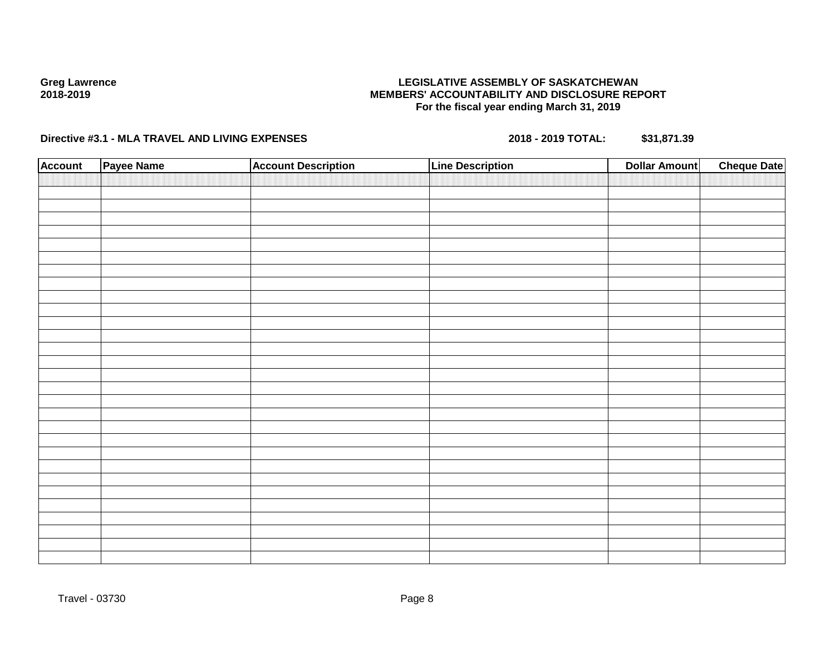## **LEGISLATIVE ASSEMBLY OF SASKATCHEWAN MEMBERS' ACCOUNTABILITY AND DISCLOSURE REPORT For the fiscal year ending March 31, 2019**

| <b>Account</b> | Payee Name | <b>Account Description</b> | <b>Line Description</b> | <b>Dollar Amount</b> | <b>Cheque Date</b> |
|----------------|------------|----------------------------|-------------------------|----------------------|--------------------|
|                |            |                            |                         |                      |                    |
|                |            |                            |                         |                      |                    |
|                |            |                            |                         |                      |                    |
|                |            |                            |                         |                      |                    |
|                |            |                            |                         |                      |                    |
|                |            |                            |                         |                      |                    |
|                |            |                            |                         |                      |                    |
|                |            |                            |                         |                      |                    |
|                |            |                            |                         |                      |                    |
|                |            |                            |                         |                      |                    |
|                |            |                            |                         |                      |                    |
|                |            |                            |                         |                      |                    |
|                |            |                            |                         |                      |                    |
|                |            |                            |                         |                      |                    |
|                |            |                            |                         |                      |                    |
|                |            |                            |                         |                      |                    |
|                |            |                            |                         |                      |                    |
|                |            |                            |                         |                      |                    |
|                |            |                            |                         |                      |                    |
|                |            |                            |                         |                      |                    |
|                |            |                            |                         |                      |                    |
|                |            |                            |                         |                      |                    |
|                |            |                            |                         |                      |                    |
|                |            |                            |                         |                      |                    |
|                |            |                            |                         |                      |                    |
|                |            |                            |                         |                      |                    |
|                |            |                            |                         |                      |                    |
|                |            |                            |                         |                      |                    |
|                |            |                            |                         |                      |                    |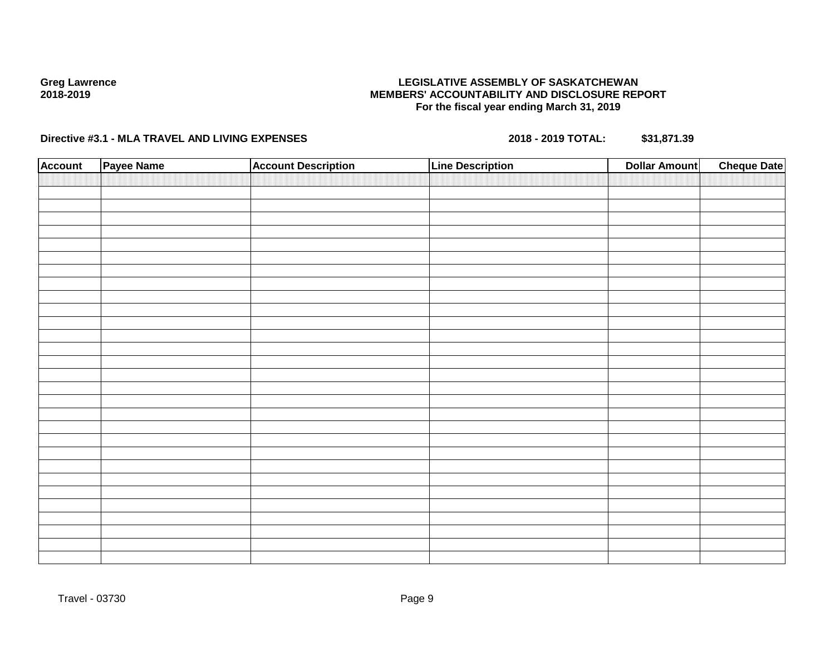## **LEGISLATIVE ASSEMBLY OF SASKATCHEWAN MEMBERS' ACCOUNTABILITY AND DISCLOSURE REPORT For the fiscal year ending March 31, 2019**

| <b>Account</b> | Payee Name | <b>Account Description</b> | <b>Line Description</b> | <b>Dollar Amount</b> | <b>Cheque Date</b> |
|----------------|------------|----------------------------|-------------------------|----------------------|--------------------|
|                |            |                            |                         |                      |                    |
|                |            |                            |                         |                      |                    |
|                |            |                            |                         |                      |                    |
|                |            |                            |                         |                      |                    |
|                |            |                            |                         |                      |                    |
|                |            |                            |                         |                      |                    |
|                |            |                            |                         |                      |                    |
|                |            |                            |                         |                      |                    |
|                |            |                            |                         |                      |                    |
|                |            |                            |                         |                      |                    |
|                |            |                            |                         |                      |                    |
|                |            |                            |                         |                      |                    |
|                |            |                            |                         |                      |                    |
|                |            |                            |                         |                      |                    |
|                |            |                            |                         |                      |                    |
|                |            |                            |                         |                      |                    |
|                |            |                            |                         |                      |                    |
|                |            |                            |                         |                      |                    |
|                |            |                            |                         |                      |                    |
|                |            |                            |                         |                      |                    |
|                |            |                            |                         |                      |                    |
|                |            |                            |                         |                      |                    |
|                |            |                            |                         |                      |                    |
|                |            |                            |                         |                      |                    |
|                |            |                            |                         |                      |                    |
|                |            |                            |                         |                      |                    |
|                |            |                            |                         |                      |                    |
|                |            |                            |                         |                      |                    |
|                |            |                            |                         |                      |                    |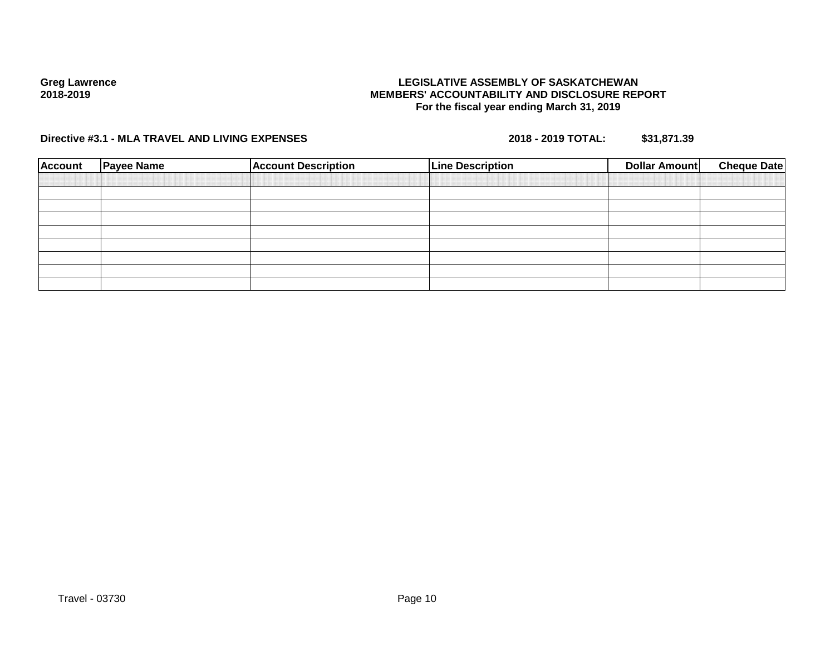## **LEGISLATIVE ASSEMBLY OF SASKATCHEWAN MEMBERS' ACCOUNTABILITY AND DISCLOSURE REPORT For the fiscal year ending March 31, 2019**

| <b>Payee Name</b> | <b>Account Description</b> | <b>Line Description</b> | Dollar Amount | <b>Cheque Date</b> |
|-------------------|----------------------------|-------------------------|---------------|--------------------|
|                   |                            |                         |               |                    |
|                   |                            |                         |               |                    |
|                   |                            |                         |               |                    |
|                   |                            |                         |               |                    |
|                   |                            |                         |               |                    |
|                   |                            |                         |               |                    |
|                   |                            |                         |               |                    |
|                   |                            |                         |               |                    |
|                   |                            |                         |               |                    |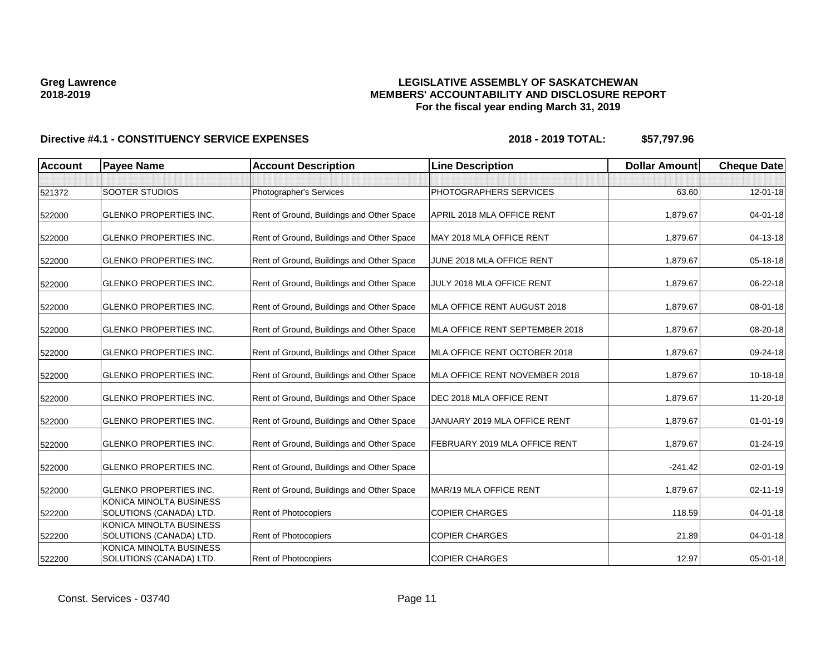## **LEGISLATIVE ASSEMBLY OF SASKATCHEWAN MEMBERS' ACCOUNTABILITY AND DISCLOSURE REPORT For the fiscal year ending March 31, 2019**

| <b>Account</b> | <b>Payee Name</b>                                  | <b>Account Description</b>                | <b>Line Description</b>        | <b>Dollar Amount</b> | <b>Cheque Date</b> |
|----------------|----------------------------------------------------|-------------------------------------------|--------------------------------|----------------------|--------------------|
|                |                                                    |                                           |                                |                      |                    |
| 521372         | SOOTER STUDIOS                                     | Photographer's Services                   | PHOTOGRAPHERS SERVICES         | 63.60                | 12-01-18           |
| 522000         | <b>GLENKO PROPERTIES INC.</b>                      | Rent of Ground, Buildings and Other Space | APRIL 2018 MLA OFFICE RENT     | 1.879.67             | $04 - 01 - 18$     |
| 522000         | <b>GLENKO PROPERTIES INC.</b>                      | Rent of Ground, Buildings and Other Space | MAY 2018 MLA OFFICE RENT       | 1,879.67             | 04-13-18           |
| 522000         | <b>GLENKO PROPERTIES INC.</b>                      | Rent of Ground, Buildings and Other Space | JUNE 2018 MLA OFFICE RENT      | 1,879.67             | 05-18-18           |
| 522000         | <b>GLENKO PROPERTIES INC.</b>                      | Rent of Ground, Buildings and Other Space | JULY 2018 MLA OFFICE RENT      | 1,879.67             | 06-22-18           |
| 522000         | <b>GLENKO PROPERTIES INC.</b>                      | Rent of Ground, Buildings and Other Space | MLA OFFICE RENT AUGUST 2018    | 1,879.67             | 08-01-18           |
| 522000         | <b>GLENKO PROPERTIES INC.</b>                      | Rent of Ground, Buildings and Other Space | MLA OFFICE RENT SEPTEMBER 2018 | 1,879.67             | 08-20-18           |
| 522000         | <b>GLENKO PROPERTIES INC.</b>                      | Rent of Ground, Buildings and Other Space | MLA OFFICE RENT OCTOBER 2018   | 1,879.67             | 09-24-18           |
| 522000         | <b>GLENKO PROPERTIES INC.</b>                      | Rent of Ground, Buildings and Other Space | MLA OFFICE RENT NOVEMBER 2018  | 1,879.67             | 10-18-18           |
| 522000         | <b>GLENKO PROPERTIES INC.</b>                      | Rent of Ground, Buildings and Other Space | DEC 2018 MLA OFFICE RENT       | 1,879.67             | 11-20-18           |
| 522000         | <b>GLENKO PROPERTIES INC.</b>                      | Rent of Ground, Buildings and Other Space | JANUARY 2019 MLA OFFICE RENT   | 1,879.67             | $01 - 01 - 19$     |
| 522000         | <b>GLENKO PROPERTIES INC.</b>                      | Rent of Ground, Buildings and Other Space | FEBRUARY 2019 MLA OFFICE RENT  | 1,879.67             | 01-24-19           |
| 522000         | <b>GLENKO PROPERTIES INC.</b>                      | Rent of Ground, Buildings and Other Space |                                | $-241.42$            | $02 - 01 - 19$     |
| 522000         | <b>GLENKO PROPERTIES INC.</b>                      | Rent of Ground, Buildings and Other Space | MAR/19 MLA OFFICE RENT         | 1,879.67             | 02-11-19           |
| 522200         | KONICA MINOLTA BUSINESS<br>SOLUTIONS (CANADA) LTD. | Rent of Photocopiers                      | <b>COPIER CHARGES</b>          | 118.59               | $04 - 01 - 18$     |
| 522200         | KONICA MINOLTA BUSINESS<br>SOLUTIONS (CANADA) LTD. | <b>Rent of Photocopiers</b>               | <b>COPIER CHARGES</b>          | 21.89                | $04 - 01 - 18$     |
| 522200         | KONICA MINOLTA BUSINESS<br>SOLUTIONS (CANADA) LTD. | Rent of Photocopiers                      | <b>COPIER CHARGES</b>          | 12.97                | 05-01-18           |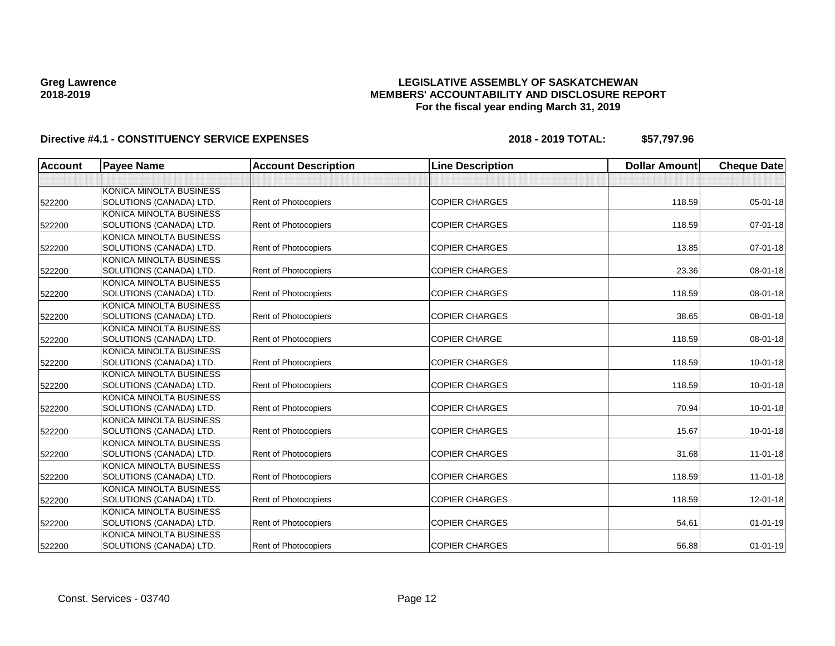## **LEGISLATIVE ASSEMBLY OF SASKATCHEWAN MEMBERS' ACCOUNTABILITY AND DISCLOSURE REPORT For the fiscal year ending March 31, 2019**

| Account | <b>Payee Name</b>              | <b>Account Description</b>  | <b>Line Description</b> | <b>Dollar Amount</b> | <b>Cheque Date</b> |
|---------|--------------------------------|-----------------------------|-------------------------|----------------------|--------------------|
|         |                                |                             |                         |                      |                    |
|         | <b>KONICA MINOLTA BUSINESS</b> |                             |                         |                      |                    |
| 522200  | SOLUTIONS (CANADA) LTD.        | Rent of Photocopiers        | <b>COPIER CHARGES</b>   | 118.59               | $05 - 01 - 18$     |
|         | KONICA MINOLTA BUSINESS        |                             |                         |                      |                    |
| 522200  | SOLUTIONS (CANADA) LTD.        | Rent of Photocopiers        | <b>COPIER CHARGES</b>   | 118.59               | 07-01-18           |
|         | KONICA MINOLTA BUSINESS        |                             |                         |                      |                    |
| 522200  | SOLUTIONS (CANADA) LTD.        | Rent of Photocopiers        | <b>COPIER CHARGES</b>   | 13.85                | 07-01-18           |
|         | KONICA MINOLTA BUSINESS        |                             |                         |                      |                    |
| 522200  | SOLUTIONS (CANADA) LTD.        | Rent of Photocopiers        | <b>COPIER CHARGES</b>   | 23.36                | 08-01-18           |
|         | KONICA MINOLTA BUSINESS        |                             |                         |                      |                    |
| 522200  | SOLUTIONS (CANADA) LTD.        | <b>Rent of Photocopiers</b> | <b>COPIER CHARGES</b>   | 118.59               | 08-01-18           |
|         | KONICA MINOLTA BUSINESS        |                             |                         |                      |                    |
| 522200  | SOLUTIONS (CANADA) LTD.        | Rent of Photocopiers        | <b>COPIER CHARGES</b>   | 38.65                | 08-01-18           |
|         | KONICA MINOLTA BUSINESS        |                             |                         |                      |                    |
| 522200  | SOLUTIONS (CANADA) LTD.        | <b>Rent of Photocopiers</b> | <b>COPIER CHARGE</b>    | 118.59               | 08-01-18           |
|         | KONICA MINOLTA BUSINESS        |                             |                         |                      |                    |
| 522200  | SOLUTIONS (CANADA) LTD.        | <b>Rent of Photocopiers</b> | <b>COPIER CHARGES</b>   | 118.59               | $10 - 01 - 18$     |
|         | KONICA MINOLTA BUSINESS        |                             |                         |                      |                    |
| 522200  | SOLUTIONS (CANADA) LTD.        | <b>Rent of Photocopiers</b> | <b>COPIER CHARGES</b>   | 118.59               | $10 - 01 - 18$     |
|         | KONICA MINOLTA BUSINESS        |                             |                         |                      |                    |
| 522200  | SOLUTIONS (CANADA) LTD.        | <b>Rent of Photocopiers</b> | <b>COPIER CHARGES</b>   | 70.94                | $10 - 01 - 18$     |
|         | KONICA MINOLTA BUSINESS        |                             |                         |                      |                    |
| 522200  | SOLUTIONS (CANADA) LTD.        | <b>Rent of Photocopiers</b> | <b>COPIER CHARGES</b>   | 15.67                | $10 - 01 - 18$     |
|         | KONICA MINOLTA BUSINESS        |                             |                         |                      |                    |
| 522200  | SOLUTIONS (CANADA) LTD.        | <b>Rent of Photocopiers</b> | <b>COPIER CHARGES</b>   | 31.68                | $11 - 01 - 18$     |
|         | KONICA MINOLTA BUSINESS        |                             |                         |                      |                    |
| 522200  | SOLUTIONS (CANADA) LTD.        | Rent of Photocopiers        | <b>COPIER CHARGES</b>   | 118.59               | $11-01-18$         |
|         | KONICA MINOLTA BUSINESS        |                             |                         |                      |                    |
| 522200  | SOLUTIONS (CANADA) LTD.        | Rent of Photocopiers        | <b>COPIER CHARGES</b>   | 118.59               | 12-01-18           |
|         | KONICA MINOLTA BUSINESS        |                             |                         |                      |                    |
| 522200  | SOLUTIONS (CANADA) LTD.        | Rent of Photocopiers        | <b>COPIER CHARGES</b>   | 54.61                | $01 - 01 - 19$     |
|         | KONICA MINOLTA BUSINESS        |                             |                         |                      |                    |
| 522200  | SOLUTIONS (CANADA) LTD.        | Rent of Photocopiers        | <b>COPIER CHARGES</b>   | 56.88                | $01 - 01 - 19$     |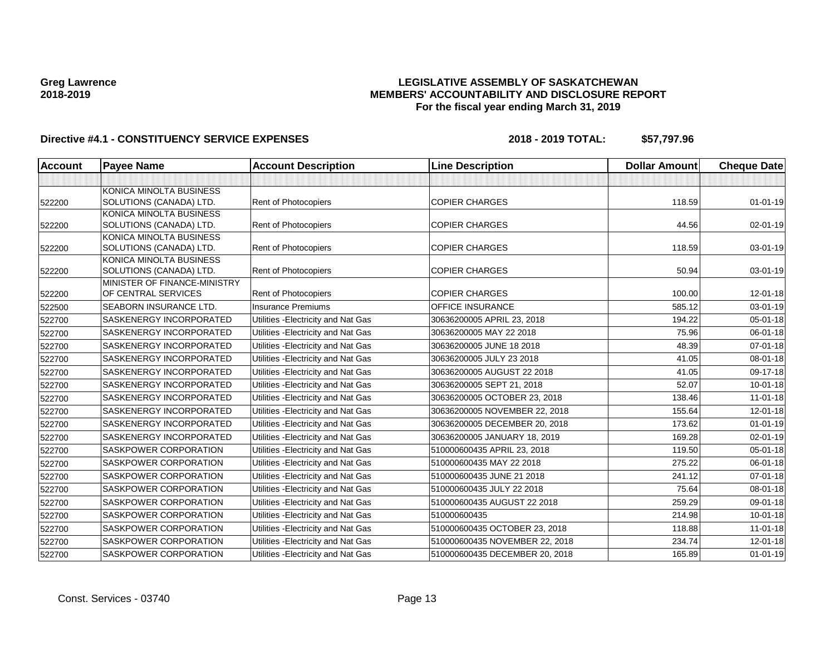## **LEGISLATIVE ASSEMBLY OF SASKATCHEWAN MEMBERS' ACCOUNTABILITY AND DISCLOSURE REPORT For the fiscal year ending March 31, 2019**

| <b>Account</b> | <b>Payee Name</b>                                       | <b>Account Description</b>          | <b>Line Description</b>        | <b>Dollar Amount</b> | <b>Cheque Date</b> |
|----------------|---------------------------------------------------------|-------------------------------------|--------------------------------|----------------------|--------------------|
|                |                                                         |                                     |                                |                      |                    |
|                | KONICA MINOLTA BUSINESS                                 |                                     |                                |                      |                    |
| 522200         | SOLUTIONS (CANADA) LTD.                                 | Rent of Photocopiers                | <b>COPIER CHARGES</b>          | 118.59               | $01 - 01 - 19$     |
|                | KONICA MINOLTA BUSINESS                                 |                                     |                                |                      |                    |
| 522200         | SOLUTIONS (CANADA) LTD.                                 | Rent of Photocopiers                | <b>COPIER CHARGES</b>          | 44.56                | $02 - 01 - 19$     |
|                | KONICA MINOLTA BUSINESS                                 |                                     |                                |                      |                    |
| 522200         | SOLUTIONS (CANADA) LTD.                                 | Rent of Photocopiers                | <b>COPIER CHARGES</b>          | 118.59               | 03-01-19           |
|                | KONICA MINOLTA BUSINESS                                 |                                     |                                |                      |                    |
| 522200         | SOLUTIONS (CANADA) LTD.<br>MINISTER OF FINANCE-MINISTRY | <b>Rent of Photocopiers</b>         | <b>COPIER CHARGES</b>          | 50.94                | 03-01-19           |
| 522200         | OF CENTRAL SERVICES                                     | Rent of Photocopiers                | <b>COPIER CHARGES</b>          | 100.00               | 12-01-18           |
| 522500         | SEABORN INSURANCE LTD.                                  | <b>Insurance Premiums</b>           | <b>OFFICE INSURANCE</b>        | 585.12               | 03-01-19           |
| 522700         | SASKENERGY INCORPORATED                                 | Utilities - Electricity and Nat Gas | 30636200005 APRIL 23, 2018     | 194.22               | 05-01-18           |
| 522700         | <b>SASKENERGY INCORPORATED</b>                          | Utilities - Electricity and Nat Gas | 30636200005 MAY 22 2018        | 75.96                | $06 - 01 - 18$     |
| 522700         | SASKENERGY INCORPORATED                                 | Utilities - Electricity and Nat Gas | 30636200005 JUNE 18 2018       | 48.39                | $07 - 01 - 18$     |
| 522700         | <b>SASKENERGY INCORPORATED</b>                          | Utilities - Electricity and Nat Gas | 30636200005 JULY 23 2018       | 41.05                | 08-01-18           |
| 522700         | <b>SASKENERGY INCORPORATED</b>                          | Utilities - Electricity and Nat Gas | 30636200005 AUGUST 22 2018     | 41.05                | 09-17-18           |
| 522700         | SASKENERGY INCORPORATED                                 | Utilities - Electricity and Nat Gas | 30636200005 SEPT 21, 2018      | 52.07                | $10 - 01 - 18$     |
| 522700         | <b>SASKENERGY INCORPORATED</b>                          | Utilities - Electricity and Nat Gas | 30636200005 OCTOBER 23, 2018   | 138.46               | $11 - 01 - 18$     |
| 522700         | SASKENERGY INCORPORATED                                 | Utilities - Electricity and Nat Gas | 30636200005 NOVEMBER 22, 2018  | 155.64               | $12 - 01 - 18$     |
| 522700         | SASKENERGY INCORPORATED                                 | Utilities - Electricity and Nat Gas | 30636200005 DECEMBER 20, 2018  | 173.62               | $01 - 01 - 19$     |
| 522700         | <b>SASKENERGY INCORPORATED</b>                          | Utilities - Electricity and Nat Gas | 30636200005 JANUARY 18, 2019   | 169.28               | 02-01-19           |
| 522700         | <b>SASKPOWER CORPORATION</b>                            | Utilities - Electricity and Nat Gas | 510000600435 APRIL 23, 2018    | 119.50               | 05-01-18           |
| 522700         | <b>SASKPOWER CORPORATION</b>                            | Utilities - Electricity and Nat Gas | 510000600435 MAY 22 2018       | 275.22               | 06-01-18           |
| 522700         | SASKPOWER CORPORATION                                   | Utilities - Electricity and Nat Gas | 510000600435 JUNE 21 2018      | 241.12               | $07 - 01 - 18$     |
| 522700         | <b>SASKPOWER CORPORATION</b>                            | Utilities - Electricity and Nat Gas | 510000600435 JULY 22 2018      | 75.64                | 08-01-18           |
| 522700         | SASKPOWER CORPORATION                                   | Utilities - Electricity and Nat Gas | 510000600435 AUGUST 22 2018    | 259.29               | 09-01-18           |
| 522700         | <b>SASKPOWER CORPORATION</b>                            | Utilities - Electricity and Nat Gas | 510000600435                   | 214.98               | $10 - 01 - 18$     |
| 522700         | <b>SASKPOWER CORPORATION</b>                            | Utilities - Electricity and Nat Gas | 510000600435 OCTOBER 23, 2018  | 118.88               | 11-01-18           |
| 522700         | SASKPOWER CORPORATION                                   | Utilities - Electricity and Nat Gas | 510000600435 NOVEMBER 22, 2018 | 234.74               | $12 - 01 - 18$     |
| 522700         | SASKPOWER CORPORATION                                   | Utilities - Electricity and Nat Gas | 510000600435 DECEMBER 20, 2018 | 165.89               | $01 - 01 - 19$     |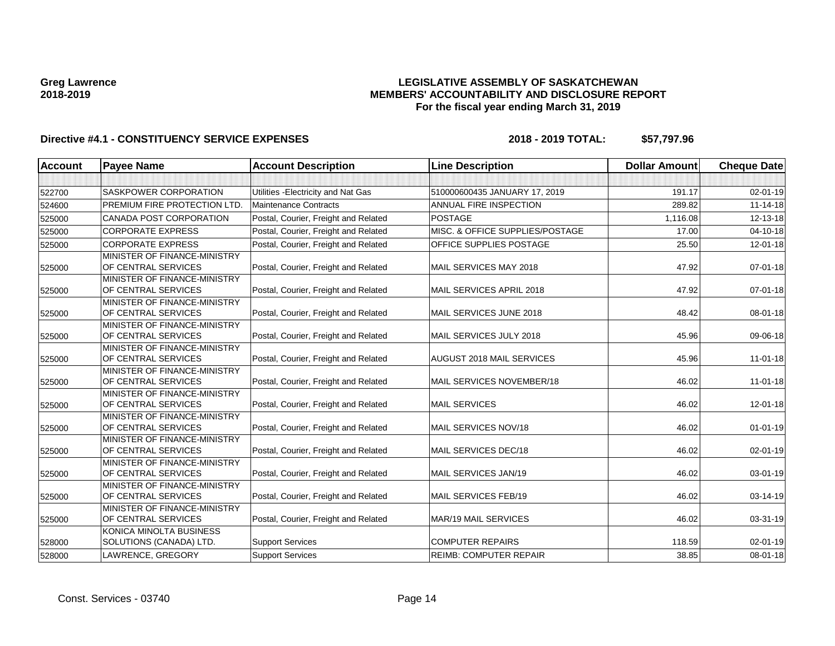## **LEGISLATIVE ASSEMBLY OF SASKATCHEWAN MEMBERS' ACCOUNTABILITY AND DISCLOSURE REPORT For the fiscal year ending March 31, 2019**

| Account | <b>Pavee Name</b>                                   | <b>Account Description</b>           | <b>Line Description</b>          | <b>Dollar Amount</b> | <b>Cheque Date</b> |
|---------|-----------------------------------------------------|--------------------------------------|----------------------------------|----------------------|--------------------|
|         |                                                     |                                      |                                  |                      |                    |
| 522700  | SASKPOWER CORPORATION                               | Utilities - Electricity and Nat Gas  | 510000600435 JANUARY 17, 2019    | 191.17               | 02-01-19           |
| 524600  | PREMIUM FIRE PROTECTION LTD.                        | <b>Maintenance Contracts</b>         | ANNUAL FIRE INSPECTION           | 289.82               | $11 - 14 - 18$     |
| 525000  | CANADA POST CORPORATION                             | Postal, Courier, Freight and Related | <b>POSTAGE</b>                   | 1,116.08             | 12-13-18           |
| 525000  | <b>CORPORATE EXPRESS</b>                            | Postal, Courier, Freight and Related | MISC. & OFFICE SUPPLIES/POSTAGE  | 17.00                | $04 - 10 - 18$     |
| 525000  | <b>CORPORATE EXPRESS</b>                            | Postal, Courier, Freight and Related | OFFICE SUPPLIES POSTAGE          | 25.50                | 12-01-18           |
|         | MINISTER OF FINANCE-MINISTRY                        |                                      |                                  |                      |                    |
| 525000  | OF CENTRAL SERVICES                                 | Postal, Courier, Freight and Related | MAIL SERVICES MAY 2018           | 47.92                | $07 - 01 - 18$     |
|         | MINISTER OF FINANCE-MINISTRY                        |                                      |                                  |                      |                    |
| 525000  | OF CENTRAL SERVICES                                 | Postal, Courier, Freight and Related | MAIL SERVICES APRIL 2018         | 47.92                | $07 - 01 - 18$     |
|         | MINISTER OF FINANCE-MINISTRY                        |                                      |                                  |                      |                    |
| 525000  | OF CENTRAL SERVICES                                 | Postal, Courier, Freight and Related | MAIL SERVICES JUNE 2018          | 48.42                | 08-01-18           |
|         | MINISTER OF FINANCE-MINISTRY<br>OF CENTRAL SERVICES | Postal, Courier, Freight and Related | MAIL SERVICES JULY 2018          | 45.96                | 09-06-18           |
| 525000  | MINISTER OF FINANCE-MINISTRY                        |                                      |                                  |                      |                    |
| 525000  | OF CENTRAL SERVICES                                 | Postal, Courier, Freight and Related | <b>AUGUST 2018 MAIL SERVICES</b> | 45.96                | $11 - 01 - 18$     |
|         | MINISTER OF FINANCE-MINISTRY                        |                                      |                                  |                      |                    |
| 525000  | OF CENTRAL SERVICES                                 | Postal, Courier, Freight and Related | MAIL SERVICES NOVEMBER/18        | 46.02                | $11 - 01 - 18$     |
|         | MINISTER OF FINANCE-MINISTRY                        |                                      |                                  |                      |                    |
| 525000  | OF CENTRAL SERVICES                                 | Postal, Courier, Freight and Related | <b>MAIL SERVICES</b>             | 46.02                | $12 - 01 - 18$     |
|         | MINISTER OF FINANCE-MINISTRY                        |                                      |                                  |                      |                    |
| 525000  | OF CENTRAL SERVICES                                 | Postal, Courier, Freight and Related | MAIL SERVICES NOV/18             | 46.02                | $01 - 01 - 19$     |
|         | MINISTER OF FINANCE-MINISTRY                        |                                      |                                  |                      |                    |
| 525000  | OF CENTRAL SERVICES                                 | Postal, Courier, Freight and Related | MAIL SERVICES DEC/18             | 46.02                | 02-01-19           |
|         | MINISTER OF FINANCE-MINISTRY<br>OF CENTRAL SERVICES | Postal, Courier, Freight and Related | MAIL SERVICES JAN/19             | 46.02                | 03-01-19           |
| 525000  | MINISTER OF FINANCE-MINISTRY                        |                                      |                                  |                      |                    |
| 525000  | OF CENTRAL SERVICES                                 | Postal, Courier, Freight and Related | MAIL SERVICES FEB/19             | 46.02                | 03-14-19           |
|         | MINISTER OF FINANCE-MINISTRY                        |                                      |                                  |                      |                    |
| 525000  | OF CENTRAL SERVICES                                 | Postal, Courier, Freight and Related | <b>MAR/19 MAIL SERVICES</b>      | 46.02                | 03-31-19           |
|         | KONICA MINOLTA BUSINESS                             |                                      |                                  |                      |                    |
| 528000  | SOLUTIONS (CANADA) LTD.                             | <b>Support Services</b>              | <b>COMPUTER REPAIRS</b>          | 118.59               | 02-01-19           |
| 528000  | LAWRENCE, GREGORY                                   | <b>Support Services</b>              | <b>REIMB: COMPUTER REPAIR</b>    | 38.85                | $08 - 01 - 18$     |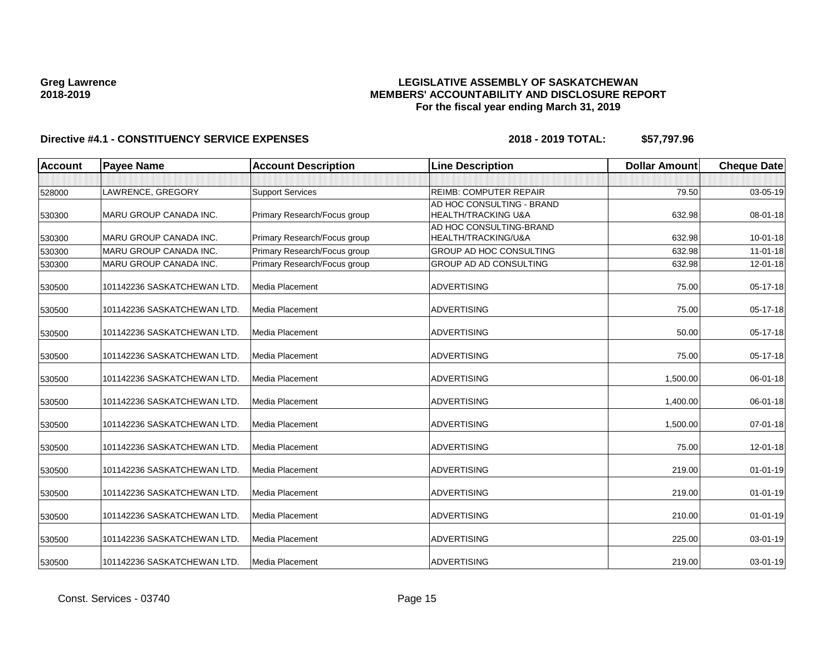## **LEGISLATIVE ASSEMBLY OF SASKATCHEWAN MEMBERS' ACCOUNTABILITY AND DISCLOSURE REPORT For the fiscal year ending March 31, 2019**

| <b>Account</b> | <b>Payee Name</b>             | <b>Account Description</b>   | <b>Line Description</b>       | <b>Dollar Amount</b> | <b>Cheque Date</b> |
|----------------|-------------------------------|------------------------------|-------------------------------|----------------------|--------------------|
|                |                               |                              |                               |                      |                    |
| 528000         | LAWRENCE, GREGORY             | <b>Support Services</b>      | <b>REIMB: COMPUTER REPAIR</b> | 79.50                | 03-05-19           |
|                |                               |                              | AD HOC CONSULTING - BRAND     |                      |                    |
| 530300         | MARU GROUP CANADA INC.        | Primary Research/Focus group | HEALTH/TRACKING U&A           | 632.98               | 08-01-18           |
|                |                               |                              | AD HOC CONSULTING-BRAND       |                      |                    |
| 530300         | MARU GROUP CANADA INC.        | Primary Research/Focus group | HEALTH/TRACKING/U&A           | 632.98               | $10 - 01 - 18$     |
| 530300         | <b>MARU GROUP CANADA INC.</b> | Primary Research/Focus group | GROUP AD HOC CONSULTING       | 632.98               | $11-01-18$         |
| 530300         | <b>MARU GROUP CANADA INC.</b> | Primary Research/Focus group | GROUP AD AD CONSULTING        | 632.98               | 12-01-18           |
| 530500         | 101142236 SASKATCHEWAN LTD.   | Media Placement              | <b>ADVERTISING</b>            | 75.00                | $05-17-18$         |
| 530500         | 101142236 SASKATCHEWAN LTD.   | Media Placement              | <b>ADVERTISING</b>            | 75.00                | 05-17-18           |
| 530500         | 101142236 SASKATCHEWAN LTD.   | Media Placement              | <b>ADVERTISING</b>            | 50.00                | 05-17-18           |
| 530500         | 101142236 SASKATCHEWAN LTD.   | Media Placement              | <b>ADVERTISING</b>            | 75.00                | 05-17-18           |
| 530500         | 101142236 SASKATCHEWAN LTD.   | Media Placement              | <b>ADVERTISING</b>            | 1,500.00             | 06-01-18           |
| 530500         | 101142236 SASKATCHEWAN LTD.   | Media Placement              | <b>ADVERTISING</b>            | 1,400.00             | 06-01-18           |
| 530500         | 101142236 SASKATCHEWAN LTD.   | Media Placement              | <b>ADVERTISING</b>            | 1,500.00             | 07-01-18           |
| 530500         | 101142236 SASKATCHEWAN LTD.   | Media Placement              | <b>ADVERTISING</b>            | 75.00                | 12-01-18           |
| 530500         | 101142236 SASKATCHEWAN LTD.   | Media Placement              | <b>ADVERTISING</b>            | 219.00               | $01 - 01 - 19$     |
| 530500         | 101142236 SASKATCHEWAN LTD.   | Media Placement              | <b>ADVERTISING</b>            | 219.00               | $01 - 01 - 19$     |
| 530500         | 101142236 SASKATCHEWAN LTD.   | Media Placement              | <b>ADVERTISING</b>            | 210.00               | $01 - 01 - 19$     |
| 530500         | 101142236 SASKATCHEWAN LTD.   | Media Placement              | <b>ADVERTISING</b>            | 225.00               | $03 - 01 - 19$     |
| 530500         | 101142236 SASKATCHEWAN LTD.   | Media Placement              | <b>ADVERTISING</b>            | 219.00               | 03-01-19           |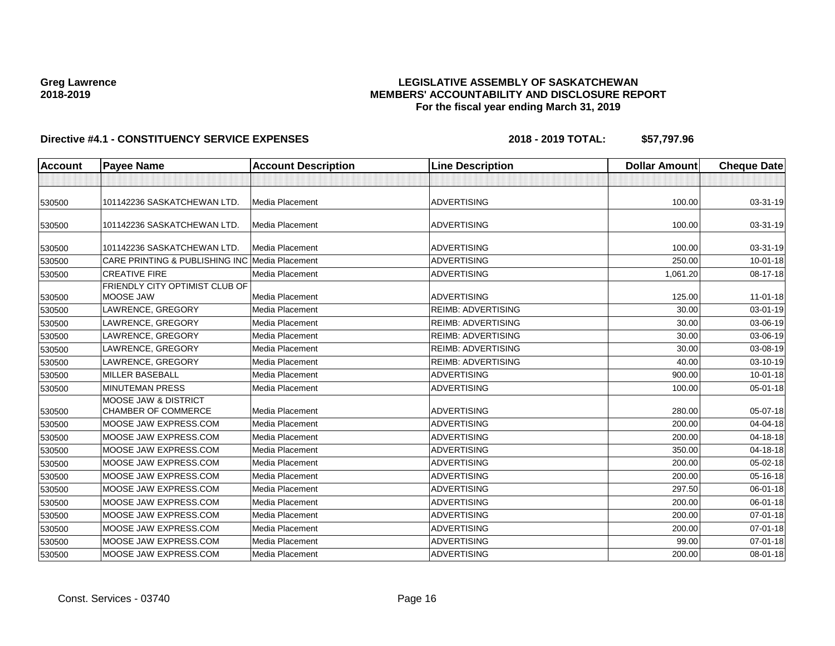## **LEGISLATIVE ASSEMBLY OF SASKATCHEWAN MEMBERS' ACCOUNTABILITY AND DISCLOSURE REPORT For the fiscal year ending March 31, 2019**

| <b>Account</b> | <b>Payee Name</b>                                             | <b>Account Description</b> | <b>Line Description</b>   | <b>Dollar Amount</b> | <b>Cheque Date</b> |
|----------------|---------------------------------------------------------------|----------------------------|---------------------------|----------------------|--------------------|
|                |                                                               |                            |                           |                      |                    |
| 530500         | 101142236 SASKATCHEWAN LTD.                                   | Media Placement            | <b>ADVERTISING</b>        | 100.00               | 03-31-19           |
| 530500         | 101142236 SASKATCHEWAN LTD.                                   | Media Placement            | <b>ADVERTISING</b>        | 100.00               | $03-31-19$         |
| 530500         | 101142236 SASKATCHEWAN LTD.                                   | Media Placement            | <b>ADVERTISING</b>        | 100.00               | 03-31-19           |
| 530500         | CARE PRINTING & PUBLISHING INC                                | Media Placement            | <b>ADVERTISING</b>        | 250.00               | $10 - 01 - 18$     |
| 530500         | <b>CREATIVE FIRE</b>                                          | Media Placement            | <b>ADVERTISING</b>        | 1,061.20             | 08-17-18           |
| 530500         | FRIENDLY CITY OPTIMIST CLUB OF<br>MOOSE JAW                   | Media Placement            | ADVERTISING               | 125.00               | $11 - 01 - 18$     |
| 530500         | LAWRENCE, GREGORY                                             | Media Placement            | <b>REIMB: ADVERTISING</b> | 30.00                | 03-01-19           |
| 530500         | LAWRENCE, GREGORY                                             | Media Placement            | <b>REIMB: ADVERTISING</b> | 30.00                | 03-06-19           |
| 530500         | LAWRENCE, GREGORY                                             | Media Placement            | <b>REIMB: ADVERTISING</b> | 30.00                | 03-06-19           |
| 530500         | LAWRENCE, GREGORY                                             | Media Placement            | <b>REIMB: ADVERTISING</b> | 30.00                | 03-08-19           |
| 530500         | LAWRENCE, GREGORY                                             | Media Placement            | <b>REIMB: ADVERTISING</b> | 40.00                | 03-10-19           |
| 530500         | <b>MILLER BASEBALL</b>                                        | Media Placement            | <b>ADVERTISING</b>        | 900.00               | $10 - 01 - 18$     |
| 530500         | <b>MINUTEMAN PRESS</b>                                        | Media Placement            | <b>ADVERTISING</b>        | 100.00               | $05 - 01 - 18$     |
| 530500         | <b>MOOSE JAW &amp; DISTRICT</b><br><b>CHAMBER OF COMMERCE</b> | Media Placement            | <b>ADVERTISING</b>        | 280.00               | 05-07-18           |
| 530500         | MOOSE JAW EXPRESS.COM                                         | Media Placement            | <b>ADVERTISING</b>        | 200.00               | 04-04-18           |
| 530500         | MOOSE JAW EXPRESS.COM                                         | Media Placement            | <b>ADVERTISING</b>        | 200.00               | 04-18-18           |
| 530500         | MOOSE JAW EXPRESS.COM                                         | Media Placement            | ADVERTISING               | 350.00               | 04-18-18           |
| 530500         | MOOSE JAW EXPRESS.COM                                         | Media Placement            | <b>ADVERTISING</b>        | 200.00               | $05 - 02 - 18$     |
| 530500         | MOOSE JAW EXPRESS.COM                                         | Media Placement            | <b>ADVERTISING</b>        | 200.00               | 05-16-18           |
| 530500         | MOOSE JAW EXPRESS.COM                                         | Media Placement            | <b>ADVERTISING</b>        | 297.50               | 06-01-18           |
| 530500         | MOOSE JAW EXPRESS.COM                                         | Media Placement            | <b>ADVERTISING</b>        | 200.00               | 06-01-18           |
| 530500         | MOOSE JAW EXPRESS.COM                                         | Media Placement            | <b>ADVERTISING</b>        | 200.00               | $07 - 01 - 18$     |
| 530500         | MOOSE JAW EXPRESS.COM                                         | Media Placement            | <b>ADVERTISING</b>        | 200.00               | $07 - 01 - 18$     |
| 530500         | MOOSE JAW EXPRESS.COM                                         | Media Placement            | <b>ADVERTISING</b>        | 99.00                | $07 - 01 - 18$     |
| 530500         | MOOSE JAW EXPRESS.COM                                         | Media Placement            | <b>ADVERTISING</b>        | 200.00               | 08-01-18           |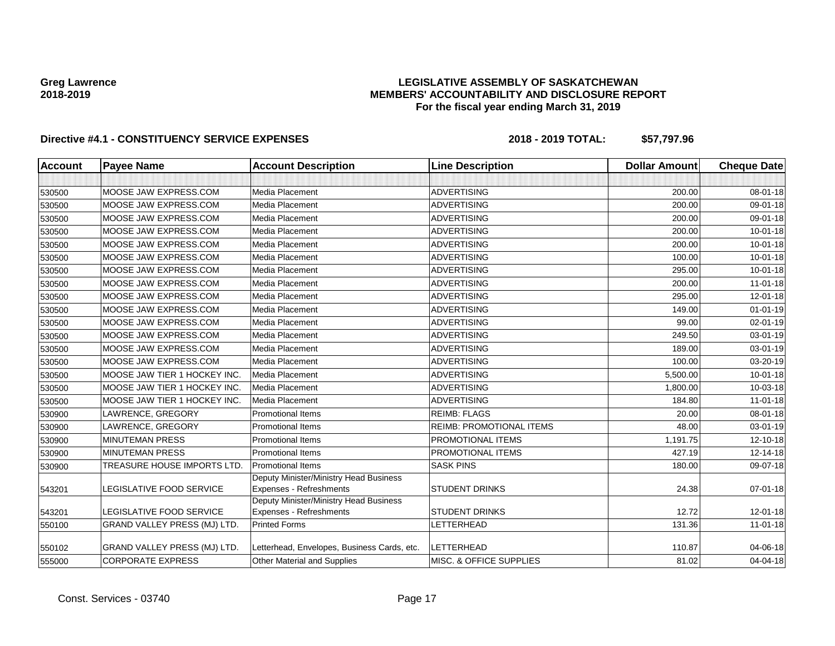## **LEGISLATIVE ASSEMBLY OF SASKATCHEWAN MEMBERS' ACCOUNTABILITY AND DISCLOSURE REPORT For the fiscal year ending March 31, 2019**

| <b>Account</b> | <b>Payee Name</b>                   | <b>Account Description</b>                                        | <b>Line Description</b>         | <b>Dollar Amount</b> | <b>Cheque Date</b> |
|----------------|-------------------------------------|-------------------------------------------------------------------|---------------------------------|----------------------|--------------------|
|                |                                     |                                                                   |                                 |                      |                    |
| 530500         | MOOSE JAW EXPRESS.COM               | Media Placement                                                   | <b>ADVERTISING</b>              | 200.00               | 08-01-18           |
| 530500         | MOOSE JAW EXPRESS.COM               | Media Placement                                                   | <b>ADVERTISING</b>              | 200.00               | 09-01-18           |
| 530500         | MOOSE JAW EXPRESS.COM               | <b>Media Placement</b>                                            | <b>ADVERTISING</b>              | 200.00               | 09-01-18           |
| 530500         | MOOSE JAW EXPRESS.COM               | Media Placement                                                   | <b>ADVERTISING</b>              | 200.00               | $10 - 01 - 18$     |
| 530500         | MOOSE JAW EXPRESS.COM               | Media Placement                                                   | <b>ADVERTISING</b>              | 200.00               | $10 - 01 - 18$     |
| 530500         | MOOSE JAW EXPRESS.COM               | Media Placement                                                   | <b>ADVERTISING</b>              | 100.00               | $10 - 01 - 18$     |
| 530500         | MOOSE JAW EXPRESS.COM               | Media Placement                                                   | <b>ADVERTISING</b>              | 295.00               | $10 - 01 - 18$     |
| 530500         | MOOSE JAW EXPRESS.COM               | Media Placement                                                   | <b>ADVERTISING</b>              | 200.00               | $11-01-18$         |
| 530500         | MOOSE JAW EXPRESS.COM               | Media Placement                                                   | <b>ADVERTISING</b>              | 295.00               | $12 - 01 - 18$     |
| 530500         | MOOSE JAW EXPRESS.COM               | Media Placement                                                   | <b>ADVERTISING</b>              | 149.00               | $01 - 01 - 19$     |
| 530500         | MOOSE JAW EXPRESS.COM               | Media Placement                                                   | <b>ADVERTISING</b>              | 99.00                | 02-01-19           |
| 530500         | MOOSE JAW EXPRESS.COM               | Media Placement                                                   | <b>ADVERTISING</b>              | 249.50               | 03-01-19           |
| 530500         | MOOSE JAW EXPRESS.COM               | Media Placement                                                   | <b>ADVERTISING</b>              | 189.00               | 03-01-19           |
| 530500         | MOOSE JAW EXPRESS.COM               | Media Placement                                                   | <b>ADVERTISING</b>              | 100.00               | 03-20-19           |
| 530500         | MOOSE JAW TIER 1 HOCKEY INC.        | <b>Media Placement</b>                                            | <b>ADVERTISING</b>              | 5,500.00             | $10 - 01 - 18$     |
| 530500         | MOOSE JAW TIER 1 HOCKEY INC.        | Media Placement                                                   | <b>ADVERTISING</b>              | 1,800.00             | 10-03-18           |
| 530500         | MOOSE JAW TIER 1 HOCKEY INC.        | Media Placement                                                   | <b>ADVERTISING</b>              | 184.80               | $11-01-18$         |
| 530900         | LAWRENCE, GREGORY                   | <b>Promotional Items</b>                                          | <b>REIMB: FLAGS</b>             | 20.00                | 08-01-18           |
| 530900         | LAWRENCE, GREGORY                   | <b>Promotional Items</b>                                          | <b>REIMB: PROMOTIONAL ITEMS</b> | 48.00                | 03-01-19           |
| 530900         | <b>MINUTEMAN PRESS</b>              | <b>Promotional Items</b>                                          | PROMOTIONAL ITEMS               | 1,191.75             | 12-10-18           |
| 530900         | <b>MINUTEMAN PRESS</b>              | <b>Promotional Items</b>                                          | PROMOTIONAL ITEMS               | 427.19               | 12-14-18           |
| 530900         | <b>TREASURE HOUSE IMPORTS LTD.</b>  | Promotional Items                                                 | <b>SASK PINS</b>                | 180.00               | 09-07-18           |
| 543201         | LEGISLATIVE FOOD SERVICE            | Deputy Minister/Ministry Head Business<br>Expenses - Refreshments | <b>STUDENT DRINKS</b>           | 24.38                | 07-01-18           |
| 543201         | <b>LEGISLATIVE FOOD SERVICE</b>     | Deputy Minister/Ministry Head Business<br>Expenses - Refreshments | <b>STUDENT DRINKS</b>           | 12.72                | 12-01-18           |
| 550100         | GRAND VALLEY PRESS (MJ) LTD.        | <b>Printed Forms</b>                                              | LETTERHEAD                      | 131.36               | $11 - 01 - 18$     |
| 550102         | <b>GRAND VALLEY PRESS (MJ) LTD.</b> | Letterhead, Envelopes, Business Cards, etc.                       | LETTERHEAD                      | 110.87               | 04-06-18           |
| 555000         | <b>CORPORATE EXPRESS</b>            | <b>Other Material and Supplies</b>                                | MISC. & OFFICE SUPPLIES         | 81.02                | 04-04-18           |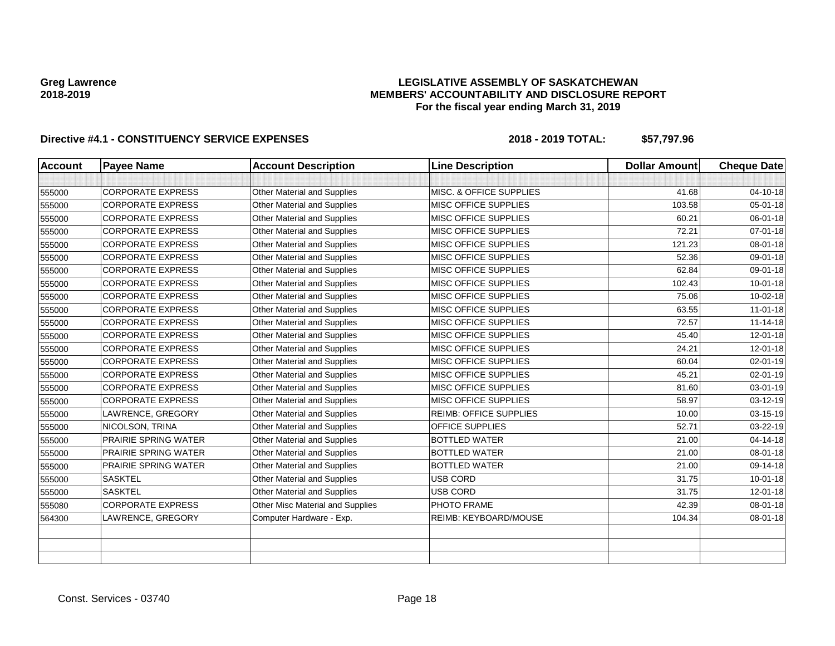## **LEGISLATIVE ASSEMBLY OF SASKATCHEWAN MEMBERS' ACCOUNTABILITY AND DISCLOSURE REPORT For the fiscal year ending March 31, 2019**

| <b>Account</b> | <b>Payee Name</b>           | <b>Account Description</b>         | <b>Line Description</b>       | <b>Dollar Amount</b> | <b>Cheque Date</b> |
|----------------|-----------------------------|------------------------------------|-------------------------------|----------------------|--------------------|
|                |                             |                                    |                               |                      |                    |
| 555000         | <b>CORPORATE EXPRESS</b>    | Other Material and Supplies        | MISC. & OFFICE SUPPLIES       | 41.68                | 04-10-18           |
| 555000         | <b>CORPORATE EXPRESS</b>    | Other Material and Supplies        | <b>MISC OFFICE SUPPLIES</b>   | 103.58               | $05 - 01 - 18$     |
| 555000         | <b>CORPORATE EXPRESS</b>    | Other Material and Supplies        | <b>MISC OFFICE SUPPLIES</b>   | 60.21                | $06 - 01 - 18$     |
| 555000         | <b>CORPORATE EXPRESS</b>    | Other Material and Supplies        | MISC OFFICE SUPPLIES          | 72.21                | $07 - 01 - 18$     |
| 555000         | <b>CORPORATE EXPRESS</b>    | Other Material and Supplies        | MISC OFFICE SUPPLIES          | 121.23               | 08-01-18           |
| 555000         | <b>CORPORATE EXPRESS</b>    | Other Material and Supplies        | <b>MISC OFFICE SUPPLIES</b>   | 52.36                | 09-01-18           |
| 555000         | <b>CORPORATE EXPRESS</b>    | Other Material and Supplies        | <b>MISC OFFICE SUPPLIES</b>   | 62.84                | 09-01-18           |
| 555000         | <b>CORPORATE EXPRESS</b>    | Other Material and Supplies        | <b>MISC OFFICE SUPPLIES</b>   | 102.43               | $10 - 01 - 18$     |
| 555000         | <b>CORPORATE EXPRESS</b>    | Other Material and Supplies        | MISC OFFICE SUPPLIES          | 75.06                | 10-02-18           |
| 555000         | <b>CORPORATE EXPRESS</b>    | Other Material and Supplies        | <b>MISC OFFICE SUPPLIES</b>   | 63.55                | $11-01-18$         |
| 555000         | <b>CORPORATE EXPRESS</b>    | Other Material and Supplies        | MISC OFFICE SUPPLIES          | 72.57                | $11 - 14 - 18$     |
| 555000         | <b>CORPORATE EXPRESS</b>    | Other Material and Supplies        | <b>MISC OFFICE SUPPLIES</b>   | 45.40                | $12 - 01 - 18$     |
| 555000         | <b>CORPORATE EXPRESS</b>    | <b>Other Material and Supplies</b> | <b>MISC OFFICE SUPPLIES</b>   | 24.21                | 12-01-18           |
| 555000         | <b>CORPORATE EXPRESS</b>    | <b>Other Material and Supplies</b> | <b>MISC OFFICE SUPPLIES</b>   | 60.04                | 02-01-19           |
| 555000         | <b>CORPORATE EXPRESS</b>    | Other Material and Supplies        | <b>MISC OFFICE SUPPLIES</b>   | 45.21                | 02-01-19           |
| 555000         | <b>CORPORATE EXPRESS</b>    | Other Material and Supplies        | <b>MISC OFFICE SUPPLIES</b>   | 81.60                | 03-01-19           |
| 555000         | <b>CORPORATE EXPRESS</b>    | Other Material and Supplies        | MISC OFFICE SUPPLIES          | 58.97                | 03-12-19           |
| 555000         | LAWRENCE, GREGORY           | Other Material and Supplies        | <b>REIMB: OFFICE SUPPLIES</b> | 10.00                | 03-15-19           |
| 555000         | NICOLSON, TRINA             | <b>Other Material and Supplies</b> | <b>OFFICE SUPPLIES</b>        | 52.71                | 03-22-19           |
| 555000         | <b>PRAIRIE SPRING WATER</b> | Other Material and Supplies        | <b>BOTTLED WATER</b>          | 21.00                | 04-14-18           |
| 555000         | <b>PRAIRIE SPRING WATER</b> | Other Material and Supplies        | <b>BOTTLED WATER</b>          | 21.00                | 08-01-18           |
| 555000         | <b>PRAIRIE SPRING WATER</b> | <b>Other Material and Supplies</b> | <b>BOTTLED WATER</b>          | 21.00                | 09-14-18           |
| 555000         | <b>SASKTEL</b>              | Other Material and Supplies        | <b>USB CORD</b>               | 31.75                | $10 - 01 - 18$     |
| 555000         | <b>SASKTEL</b>              | <b>Other Material and Supplies</b> | <b>USB CORD</b>               | 31.75                | $12 - 01 - 18$     |
| 555080         | <b>CORPORATE EXPRESS</b>    | Other Misc Material and Supplies   | PHOTO FRAME                   | 42.39                | $08 - 01 - 18$     |
| 564300         | LAWRENCE, GREGORY           | Computer Hardware - Exp.           | REIMB: KEYBOARD/MOUSE         | 104.34               | 08-01-18           |
|                |                             |                                    |                               |                      |                    |
|                |                             |                                    |                               |                      |                    |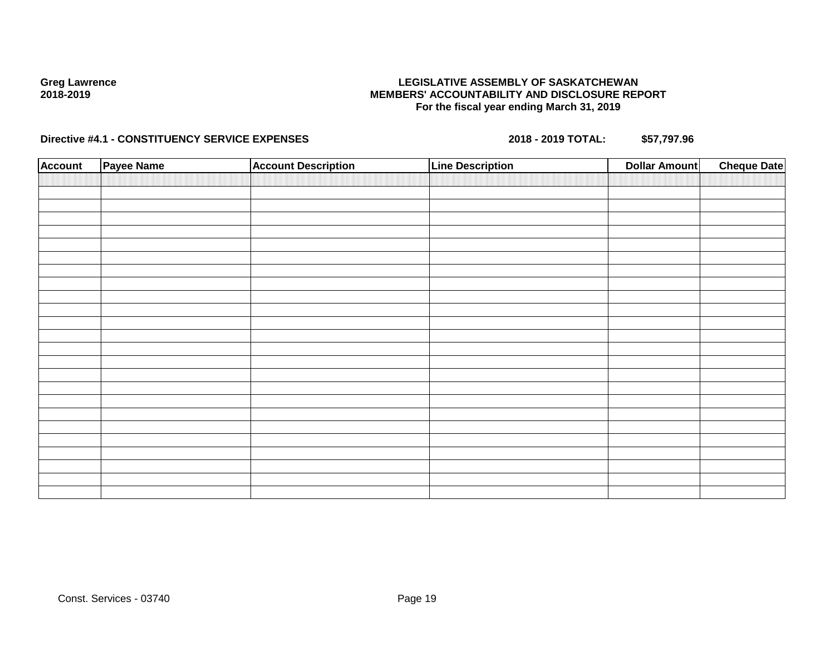## **LEGISLATIVE ASSEMBLY OF SASKATCHEWAN MEMBERS' ACCOUNTABILITY AND DISCLOSURE REPORT For the fiscal year ending March 31, 2019**

| <b>Account</b> | <b>Payee Name</b> | <b>Account Description</b> | <b>Line Description</b> | <b>Dollar Amount</b> | <b>Cheque Date</b> |
|----------------|-------------------|----------------------------|-------------------------|----------------------|--------------------|
|                |                   |                            |                         |                      |                    |
|                |                   |                            |                         |                      |                    |
|                |                   |                            |                         |                      |                    |
|                |                   |                            |                         |                      |                    |
|                |                   |                            |                         |                      |                    |
|                |                   |                            |                         |                      |                    |
|                |                   |                            |                         |                      |                    |
|                |                   |                            |                         |                      |                    |
|                |                   |                            |                         |                      |                    |
|                |                   |                            |                         |                      |                    |
|                |                   |                            |                         |                      |                    |
|                |                   |                            |                         |                      |                    |
|                |                   |                            |                         |                      |                    |
|                |                   |                            |                         |                      |                    |
|                |                   |                            |                         |                      |                    |
|                |                   |                            |                         |                      |                    |
|                |                   |                            |                         |                      |                    |
|                |                   |                            |                         |                      |                    |
|                |                   |                            |                         |                      |                    |
|                |                   |                            |                         |                      |                    |
|                |                   |                            |                         |                      |                    |
|                |                   |                            |                         |                      |                    |
|                |                   |                            |                         |                      |                    |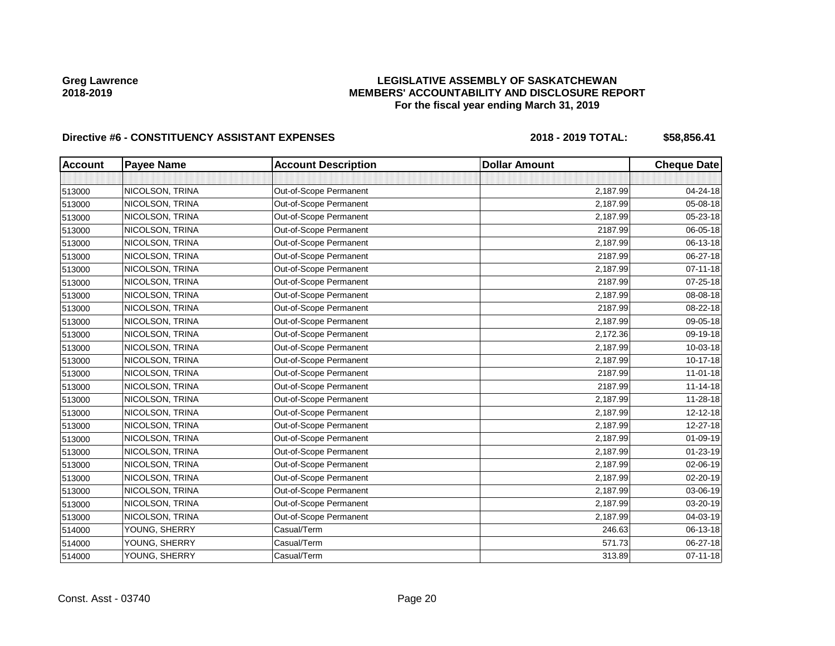## **LEGISLATIVE ASSEMBLY OF SASKATCHEWAN MEMBERS' ACCOUNTABILITY AND DISCLOSURE REPORT For the fiscal year ending March 31, 2019**

| <b>Account</b> | <b>Payee Name</b> | <b>Account Description</b> | <b>Dollar Amount</b> | <b>Cheque Date</b> |
|----------------|-------------------|----------------------------|----------------------|--------------------|
|                |                   |                            |                      |                    |
| 513000         | NICOLSON, TRINA   | Out-of-Scope Permanent     | 2,187.99             | 04-24-18           |
| 513000         | NICOLSON, TRINA   | Out-of-Scope Permanent     | 2,187.99             | 05-08-18           |
| 513000         | NICOLSON, TRINA   | Out-of-Scope Permanent     | 2,187.99             | 05-23-18           |
| 513000         | NICOLSON, TRINA   | Out-of-Scope Permanent     | 2187.99              | 06-05-18           |
| 513000         | NICOLSON, TRINA   | Out-of-Scope Permanent     | 2,187.99             | 06-13-18           |
| 513000         | NICOLSON, TRINA   | Out-of-Scope Permanent     | 2187.99              | 06-27-18           |
| 513000         | NICOLSON, TRINA   | Out-of-Scope Permanent     | 2,187.99             | 07-11-18           |
| 513000         | NICOLSON, TRINA   | Out-of-Scope Permanent     | 2187.99              | 07-25-18           |
| 513000         | NICOLSON, TRINA   | Out-of-Scope Permanent     | 2,187.99             | 08-08-18           |
| 513000         | NICOLSON, TRINA   | Out-of-Scope Permanent     | 2187.99              | 08-22-18           |
| 513000         | NICOLSON, TRINA   | Out-of-Scope Permanent     | 2,187.99             | 09-05-18           |
| 513000         | NICOLSON, TRINA   | Out-of-Scope Permanent     | 2,172.36             | 09-19-18           |
| 513000         | NICOLSON, TRINA   | Out-of-Scope Permanent     | 2,187.99             | 10-03-18           |
| 513000         | NICOLSON, TRINA   | Out-of-Scope Permanent     | 2,187.99             | 10-17-18           |
| 513000         | NICOLSON, TRINA   | Out-of-Scope Permanent     | 2187.99              | $11-01-18$         |
| 513000         | NICOLSON, TRINA   | Out-of-Scope Permanent     | 2187.99              | $11 - 14 - 18$     |
| 513000         | NICOLSON, TRINA   | Out-of-Scope Permanent     | 2,187.99             | 11-28-18           |
| 513000         | NICOLSON, TRINA   | Out-of-Scope Permanent     | 2,187.99             | 12-12-18           |
| 513000         | NICOLSON, TRINA   | Out-of-Scope Permanent     | 2,187.99             | 12-27-18           |
| 513000         | NICOLSON, TRINA   | Out-of-Scope Permanent     | 2,187.99             | 01-09-19           |
| 513000         | NICOLSON, TRINA   | Out-of-Scope Permanent     | 2,187.99             | 01-23-19           |
| 513000         | NICOLSON, TRINA   | Out-of-Scope Permanent     | 2,187.99             | 02-06-19           |
| 513000         | NICOLSON, TRINA   | Out-of-Scope Permanent     | 2,187.99             | 02-20-19           |
| 513000         | NICOLSON, TRINA   | Out-of-Scope Permanent     | 2,187.99             | 03-06-19           |
| 513000         | NICOLSON, TRINA   | Out-of-Scope Permanent     | 2,187.99             | 03-20-19           |
| 513000         | NICOLSON, TRINA   | Out-of-Scope Permanent     | 2,187.99             | 04-03-19           |
| 514000         | YOUNG, SHERRY     | Casual/Term                | 246.63               | 06-13-18           |
| 514000         | YOUNG, SHERRY     | Casual/Term                | 571.73               | 06-27-18           |
| 514000         | YOUNG, SHERRY     | Casual/Term                | 313.89               | 07-11-18           |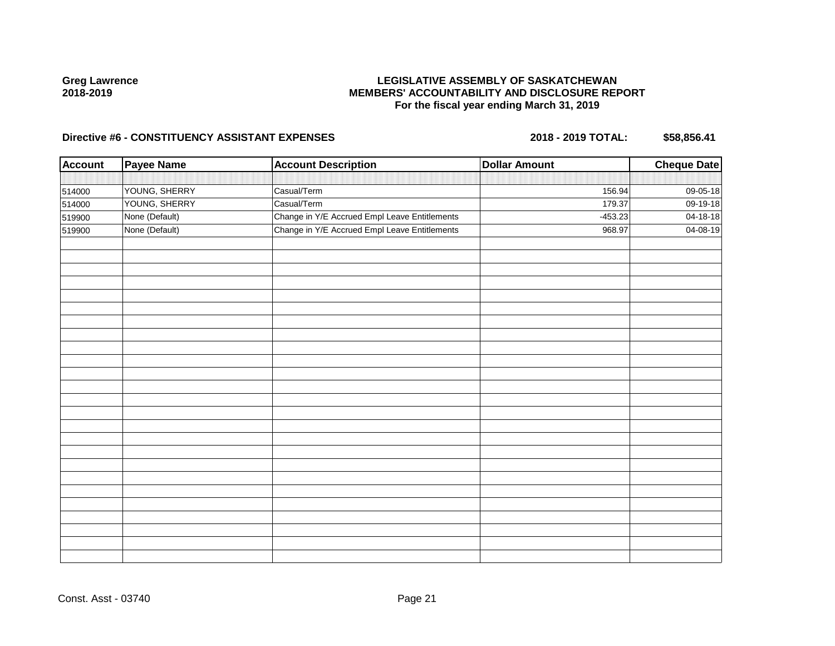## **LEGISLATIVE ASSEMBLY OF SASKATCHEWAN MEMBERS' ACCOUNTABILITY AND DISCLOSURE REPORT For the fiscal year ending March 31, 2019**

| <b>Account</b> | <b>Payee Name</b> | <b>Account Description</b>                    | <b>Dollar Amount</b> | <b>Cheque Date</b> |
|----------------|-------------------|-----------------------------------------------|----------------------|--------------------|
|                |                   |                                               |                      |                    |
| 514000         | YOUNG, SHERRY     | Casual/Term                                   | 156.94               | 09-05-18           |
| 514000         | YOUNG, SHERRY     | Casual/Term                                   | 179.37               | 09-19-18           |
| 519900         | None (Default)    | Change in Y/E Accrued Empl Leave Entitlements | $-453.23$            | 04-18-18           |
| 519900         | None (Default)    | Change in Y/E Accrued Empl Leave Entitlements | 968.97               | 04-08-19           |
|                |                   |                                               |                      |                    |
|                |                   |                                               |                      |                    |
|                |                   |                                               |                      |                    |
|                |                   |                                               |                      |                    |
|                |                   |                                               |                      |                    |
|                |                   |                                               |                      |                    |
|                |                   |                                               |                      |                    |
|                |                   |                                               |                      |                    |
|                |                   |                                               |                      |                    |
|                |                   |                                               |                      |                    |
|                |                   |                                               |                      |                    |
|                |                   |                                               |                      |                    |
|                |                   |                                               |                      |                    |
|                |                   |                                               |                      |                    |
|                |                   |                                               |                      |                    |
|                |                   |                                               |                      |                    |
|                |                   |                                               |                      |                    |
|                |                   |                                               |                      |                    |
|                |                   |                                               |                      |                    |
|                |                   |                                               |                      |                    |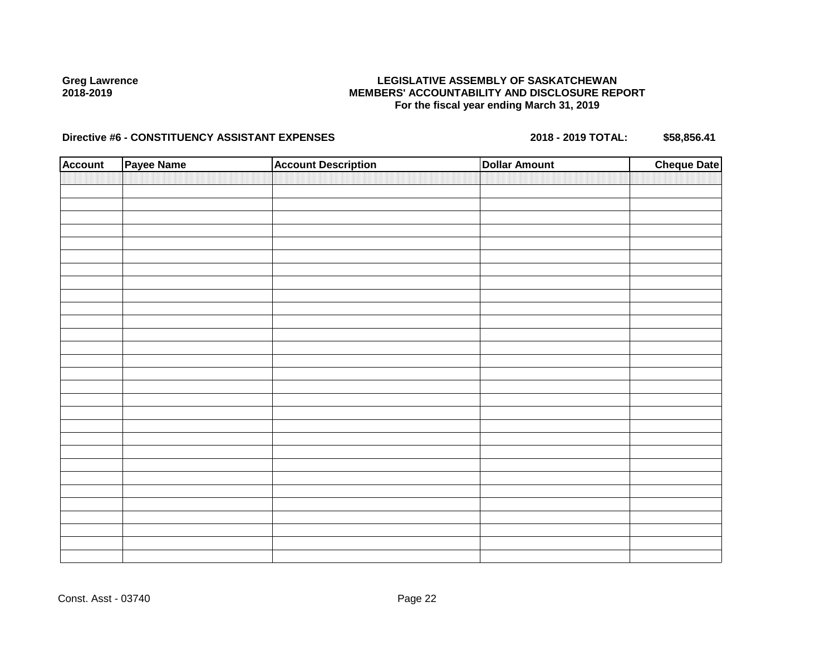## **LEGISLATIVE ASSEMBLY OF SASKATCHEWAN MEMBERS' ACCOUNTABILITY AND DISCLOSURE REPORT For the fiscal year ending March 31, 2019**

| <b>Account</b> | Payee Name | <b>Account Description</b> | <b>Dollar Amount</b> | <b>Cheque Date</b> |
|----------------|------------|----------------------------|----------------------|--------------------|
|                |            |                            |                      |                    |
|                |            |                            |                      |                    |
|                |            |                            |                      |                    |
|                |            |                            |                      |                    |
|                |            |                            |                      |                    |
|                |            |                            |                      |                    |
|                |            |                            |                      |                    |
|                |            |                            |                      |                    |
|                |            |                            |                      |                    |
|                |            |                            |                      |                    |
|                |            |                            |                      |                    |
|                |            |                            |                      |                    |
|                |            |                            |                      |                    |
|                |            |                            |                      |                    |
|                |            |                            |                      |                    |
|                |            |                            |                      |                    |
|                |            |                            |                      |                    |
|                |            |                            |                      |                    |
|                |            |                            |                      |                    |
|                |            |                            |                      |                    |
|                |            |                            |                      |                    |
|                |            |                            |                      |                    |
|                |            |                            |                      |                    |
|                |            |                            |                      |                    |
|                |            |                            |                      |                    |
|                |            |                            |                      |                    |
|                |            |                            |                      |                    |
|                |            |                            |                      |                    |